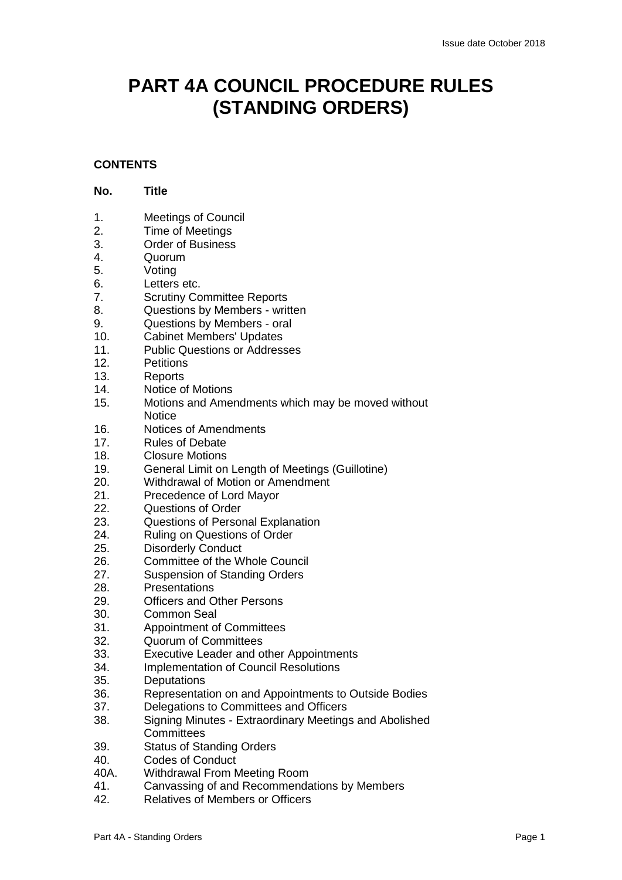# **PART 4A COUNCIL PROCEDURE RULES (STANDING ORDERS)**

# **CONTENTS**

- 1. Meetings of Council
- 2. Time of Meetings
- 3. Order of Business
- 4. Quorum
- 5. Voting
- 6. Letters etc.
- 7. Scrutiny Committee Reports
- 8. Questions by Members written
- 9. Questions by Members oral
- 10. Cabinet Members' Updates
- 11. Public Questions or Addresses
- 12. Petitions
- 13. Reports
- 14. Notice of Motions
- 15. Motions and Amendments which may be moved without **Notice**
- 16. Notices of Amendments
- 17. Rules of Debate
- 18. Closure Motions
- 19. General Limit on Length of Meetings (Guillotine)
- 20. Withdrawal of Motion or Amendment
- 21. Precedence of Lord Mayor
- 22. Questions of Order
- 23. Questions of Personal Explanation
- 24. Ruling on Questions of Order
- 25. Disorderly Conduct
- 26. Committee of the Whole Council
- 27. Suspension of Standing Orders
- 28. Presentations
- 29. Officers and Other Persons
- 30. Common Seal
- 31. Appointment of Committees
- 32. Quorum of Committees
- 33. Executive Leader and other Appointments
- 34. Implementation of Council Resolutions
- 35. Deputations
- 36. Representation on and Appointments to Outside Bodies
- 37. Delegations to Committees and Officers
- 38. Signing Minutes Extraordinary Meetings and Abolished **Committees**
- 39. Status of Standing Orders
- 40. Codes of Conduct
- 40A. Withdrawal From Meeting Room
- 41. Canvassing of and Recommendations by Members
- 42. Relatives of Members or Officers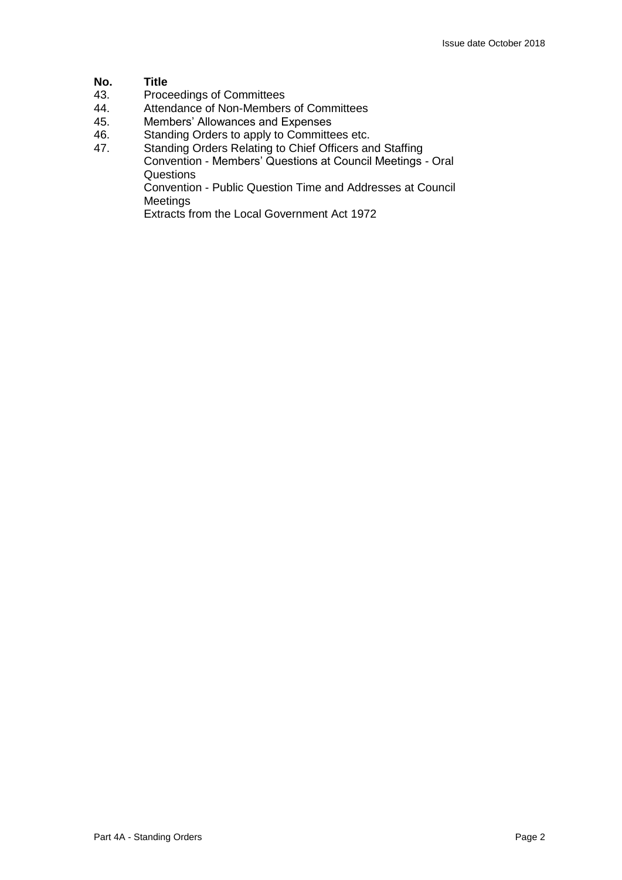# **No. Title**

- 43. Proceedings of Committees<br>44. Attendance of Non-Members
- 44. Attendance of Non-Members of Committees<br>45. Members' Allowances and Expenses
- 45. Members' Allowances and Expenses<br>46. Standing Orders to apply to Committe
- 46. Standing Orders to apply to Committees etc.<br>47. Standing Orders Relating to Chief Officers an
- Standing Orders Relating to Chief Officers and Staffing Convention - Members' Questions at Council Meetings - Oral **Questions** Convention - Public Question Time and Addresses at Council Meetings

Extracts from the Local Government Act 1972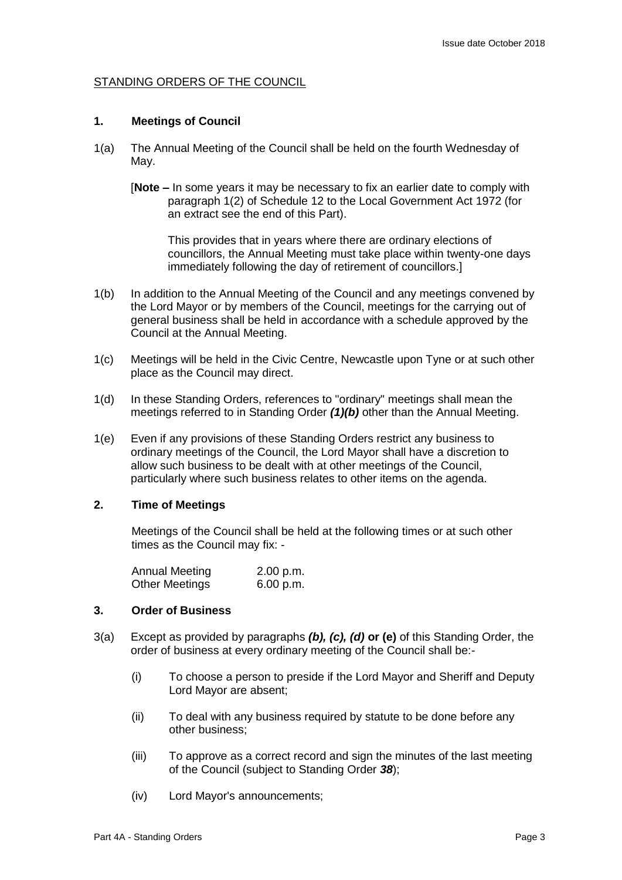# STANDING ORDERS OF THE COUNCIL

## **1. Meetings of Council**

- 1(a) The Annual Meeting of the Council shall be held on the fourth Wednesday of May.
	- [**Note –** In some years it may be necessary to fix an earlier date to comply with paragraph 1(2) of Schedule 12 to the Local Government Act 1972 (for an extract see the end of this Part).

This provides that in years where there are ordinary elections of councillors, the Annual Meeting must take place within twenty-one days immediately following the day of retirement of councillors.]

- 1(b) In addition to the Annual Meeting of the Council and any meetings convened by the Lord Mayor or by members of the Council, meetings for the carrying out of general business shall be held in accordance with a schedule approved by the Council at the Annual Meeting.
- 1(c) Meetings will be held in the Civic Centre, Newcastle upon Tyne or at such other place as the Council may direct.
- 1(d) In these Standing Orders, references to "ordinary" meetings shall mean the meetings referred to in Standing Order *(1)(b)* other than the Annual Meeting.
- 1(e) Even if any provisions of these Standing Orders restrict any business to ordinary meetings of the Council, the Lord Mayor shall have a discretion to allow such business to be dealt with at other meetings of the Council, particularly where such business relates to other items on the agenda.

#### **2. Time of Meetings**

Meetings of the Council shall be held at the following times or at such other times as the Council may fix: -

| <b>Annual Meeting</b> | 2.00 p.m. |
|-----------------------|-----------|
| <b>Other Meetings</b> | 6.00 p.m. |

#### **3. Order of Business**

- 3(a) Except as provided by paragraphs *(b), (c), (d)* **or (e)** of this Standing Order, the order of business at every ordinary meeting of the Council shall be:-
	- (i) To choose a person to preside if the Lord Mayor and Sheriff and Deputy Lord Mayor are absent;
	- (ii) To deal with any business required by statute to be done before any other business;
	- (iii) To approve as a correct record and sign the minutes of the last meeting of the Council (subject to Standing Order *38*);
	- (iv) Lord Mayor's announcements;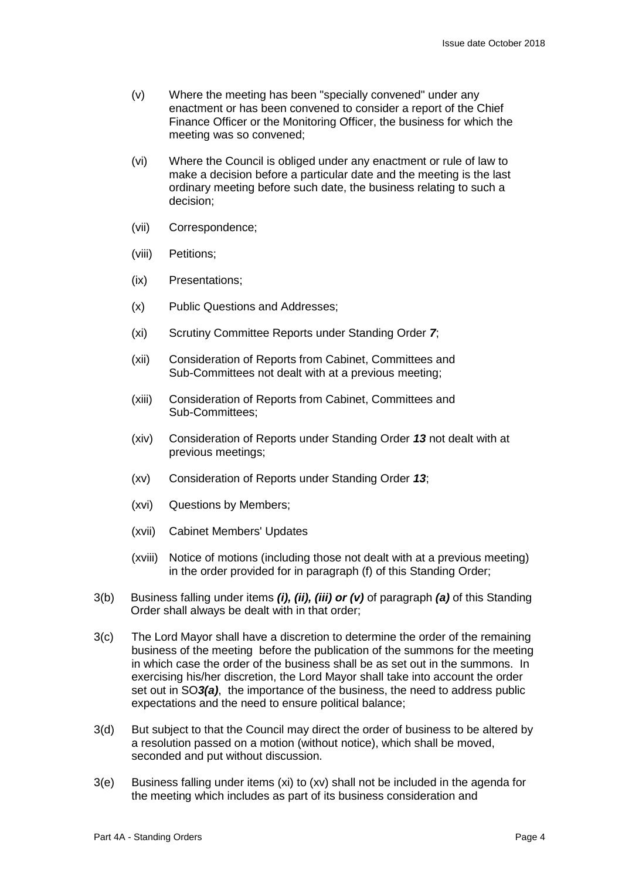- (v) Where the meeting has been "specially convened" under any enactment or has been convened to consider a report of the Chief Finance Officer or the Monitoring Officer, the business for which the meeting was so convened;
- (vi) Where the Council is obliged under any enactment or rule of law to make a decision before a particular date and the meeting is the last ordinary meeting before such date, the business relating to such a decision;
- (vii) Correspondence;
- (viii) Petitions;
- (ix) Presentations;
- (x) Public Questions and Addresses;
- (xi) Scrutiny Committee Reports under Standing Order *7*;
- (xii) Consideration of Reports from Cabinet, Committees and Sub-Committees not dealt with at a previous meeting;
- (xiii) Consideration of Reports from Cabinet, Committees and Sub-Committees;
- (xiv) Consideration of Reports under Standing Order *13* not dealt with at previous meetings;
- (xv) Consideration of Reports under Standing Order *13*;
- (xvi) Questions by Members;
- (xvii) Cabinet Members' Updates
- (xviii) Notice of motions (including those not dealt with at a previous meeting) in the order provided for in paragraph (f) of this Standing Order;
- 3(b) Business falling under items *(i), (ii), (iii) or (v)* of paragraph *(a)* of this Standing Order shall always be dealt with in that order;
- 3(c) The Lord Mayor shall have a discretion to determine the order of the remaining business of the meeting before the publication of the summons for the meeting in which case the order of the business shall be as set out in the summons. In exercising his/her discretion, the Lord Mayor shall take into account the order set out in SO*3(a)*, the importance of the business, the need to address public expectations and the need to ensure political balance;
- 3(d) But subject to that the Council may direct the order of business to be altered by a resolution passed on a motion (without notice), which shall be moved, seconded and put without discussion.
- 3(e) Business falling under items (xi) to (xv) shall not be included in the agenda for the meeting which includes as part of its business consideration and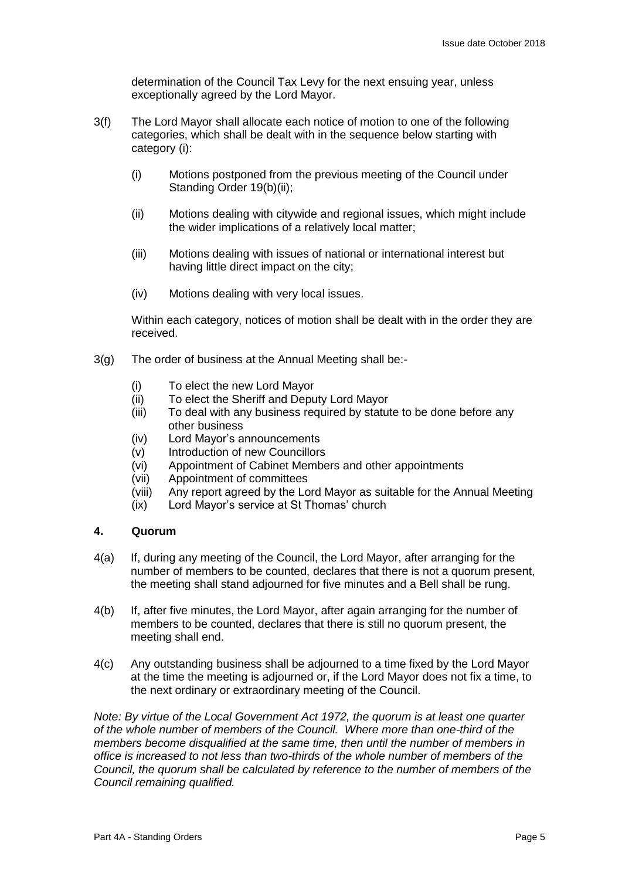determination of the Council Tax Levy for the next ensuing year, unless exceptionally agreed by the Lord Mayor.

- 3(f) The Lord Mayor shall allocate each notice of motion to one of the following categories, which shall be dealt with in the sequence below starting with category (i):
	- (i) Motions postponed from the previous meeting of the Council under Standing Order 19(b)(ii);
	- (ii) Motions dealing with citywide and regional issues, which might include the wider implications of a relatively local matter;
	- (iii) Motions dealing with issues of national or international interest but having little direct impact on the city;
	- (iv) Motions dealing with very local issues.

Within each category, notices of motion shall be dealt with in the order they are received.

- 3(g) The order of business at the Annual Meeting shall be:-
	- (i) To elect the new Lord Mayor
	- (ii) To elect the Sheriff and Deputy Lord Mayor
	- (iii) To deal with any business required by statute to be done before any other business
	- (iv) Lord Mayor's announcements
	- (v) Introduction of new Councillors
	- (vi) Appointment of Cabinet Members and other appointments
	- (vii) Appointment of committees
	- (viii) Any report agreed by the Lord Mayor as suitable for the Annual Meeting
	- (ix) Lord Mayor's service at St Thomas' church

#### **4. Quorum**

- 4(a) If, during any meeting of the Council, the Lord Mayor, after arranging for the number of members to be counted, declares that there is not a quorum present, the meeting shall stand adjourned for five minutes and a Bell shall be rung.
- 4(b) If, after five minutes, the Lord Mayor, after again arranging for the number of members to be counted, declares that there is still no quorum present, the meeting shall end.
- 4(c) Any outstanding business shall be adjourned to a time fixed by the Lord Mayor at the time the meeting is adjourned or, if the Lord Mayor does not fix a time, to the next ordinary or extraordinary meeting of the Council.

*Note: By virtue of the Local Government Act 1972, the quorum is at least one quarter of the whole number of members of the Council. Where more than one-third of the members become disqualified at the same time, then until the number of members in office is increased to not less than two-thirds of the whole number of members of the Council, the quorum shall be calculated by reference to the number of members of the Council remaining qualified.*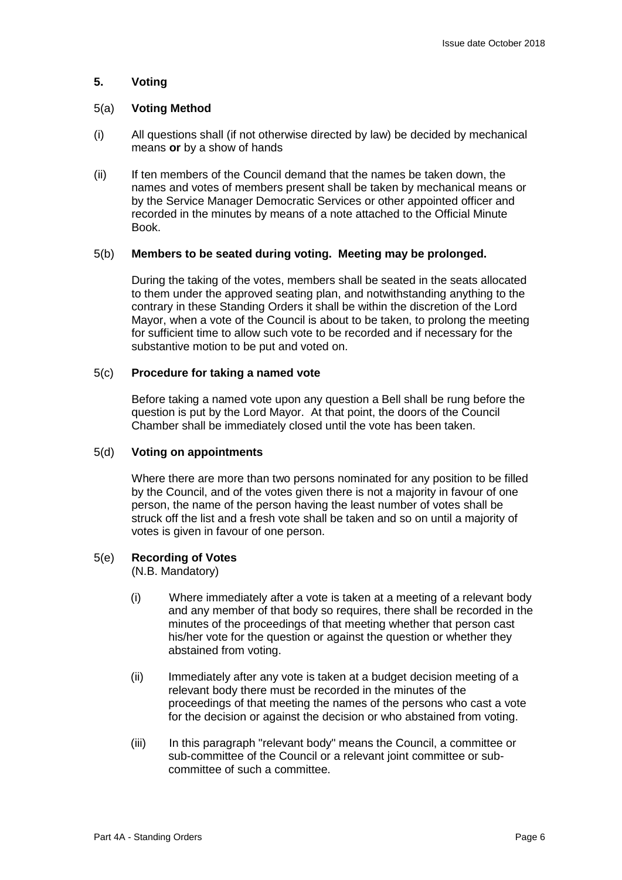# **5. Voting**

## 5(a) **Voting Method**

- (i) All questions shall (if not otherwise directed by law) be decided by mechanical means **or** by a show of hands
- (ii) If ten members of the Council demand that the names be taken down, the names and votes of members present shall be taken by mechanical means or by the Service Manager Democratic Services or other appointed officer and recorded in the minutes by means of a note attached to the Official Minute Book.

### 5(b) **Members to be seated during voting. Meeting may be prolonged.**

During the taking of the votes, members shall be seated in the seats allocated to them under the approved seating plan, and notwithstanding anything to the contrary in these Standing Orders it shall be within the discretion of the Lord Mayor, when a vote of the Council is about to be taken, to prolong the meeting for sufficient time to allow such vote to be recorded and if necessary for the substantive motion to be put and voted on.

### 5(c) **Procedure for taking a named vote**

Before taking a named vote upon any question a Bell shall be rung before the question is put by the Lord Mayor. At that point, the doors of the Council Chamber shall be immediately closed until the vote has been taken.

# 5(d) **Voting on appointments**

Where there are more than two persons nominated for any position to be filled by the Council, and of the votes given there is not a majority in favour of one person, the name of the person having the least number of votes shall be struck off the list and a fresh vote shall be taken and so on until a majority of votes is given in favour of one person.

# 5(e) **Recording of Votes**

(N.B. Mandatory)

- (i) Where immediately after a vote is taken at a meeting of a relevant body and any member of that body so requires, there shall be recorded in the minutes of the proceedings of that meeting whether that person cast his/her vote for the question or against the question or whether they abstained from voting.
- (ii) Immediately after any vote is taken at a budget decision meeting of a relevant body there must be recorded in the minutes of the proceedings of that meeting the names of the persons who cast a vote for the decision or against the decision or who abstained from voting.
- (iii) In this paragraph "relevant body" means the Council, a committee or sub-committee of the Council or a relevant joint committee or subcommittee of such a committee.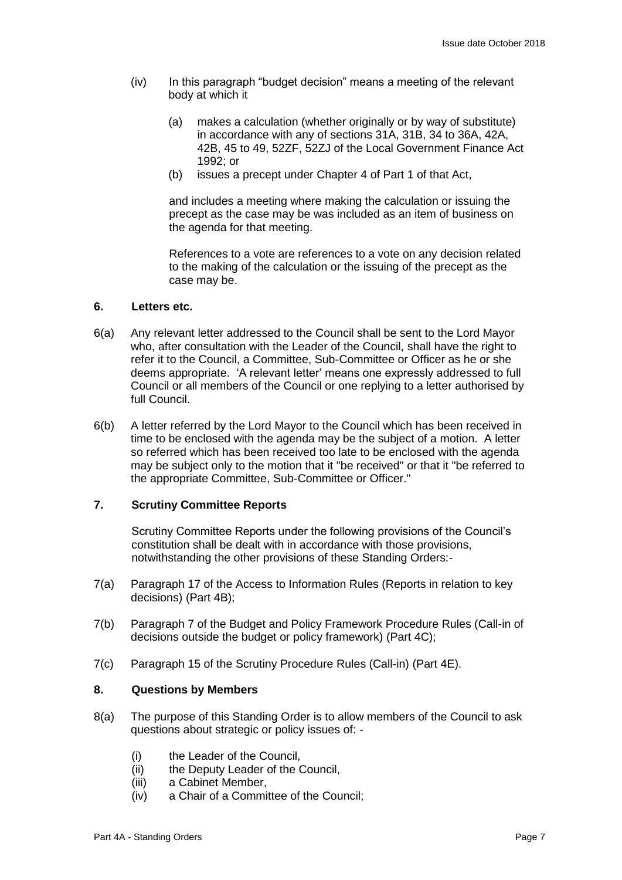- (iv) In this paragraph "budget decision" means a meeting of the relevant body at which it
	- (a) makes a calculation (whether originally or by way of substitute) in accordance with any of sections 31A, 31B, 34 to 36A, 42A, 42B, 45 to 49, 52ZF, 52ZJ of the Local Government Finance Act 1992; or
	- (b) issues a precept under Chapter 4 of Part 1 of that Act,

and includes a meeting where making the calculation or issuing the precept as the case may be was included as an item of business on the agenda for that meeting.

References to a vote are references to a vote on any decision related to the making of the calculation or the issuing of the precept as the case may be.

#### **6. Letters etc.**

- 6(a) Any relevant letter addressed to the Council shall be sent to the Lord Mayor who, after consultation with the Leader of the Council, shall have the right to refer it to the Council, a Committee, Sub-Committee or Officer as he or she deems appropriate. 'A relevant letter' means one expressly addressed to full Council or all members of the Council or one replying to a letter authorised by full Council.
- 6(b) A letter referred by the Lord Mayor to the Council which has been received in time to be enclosed with the agenda may be the subject of a motion. A letter so referred which has been received too late to be enclosed with the agenda may be subject only to the motion that it "be received" or that it "be referred to the appropriate Committee, Sub-Committee or Officer."

# **7. Scrutiny Committee Reports**

Scrutiny Committee Reports under the following provisions of the Council's constitution shall be dealt with in accordance with those provisions, notwithstanding the other provisions of these Standing Orders:-

- 7(a) Paragraph 17 of the Access to Information Rules (Reports in relation to key decisions) (Part 4B);
- 7(b) Paragraph 7 of the Budget and Policy Framework Procedure Rules (Call-in of decisions outside the budget or policy framework) (Part 4C);
- 7(c) Paragraph 15 of the Scrutiny Procedure Rules (Call-in) (Part 4E).

#### **8. Questions by Members**

- 8(a) The purpose of this Standing Order is to allow members of the Council to ask questions about strategic or policy issues of: -
	- (i) the Leader of the Council,
	- (ii) the Deputy Leader of the Council,
	- (iii) a Cabinet Member,
	- (iv) a Chair of a Committee of the Council;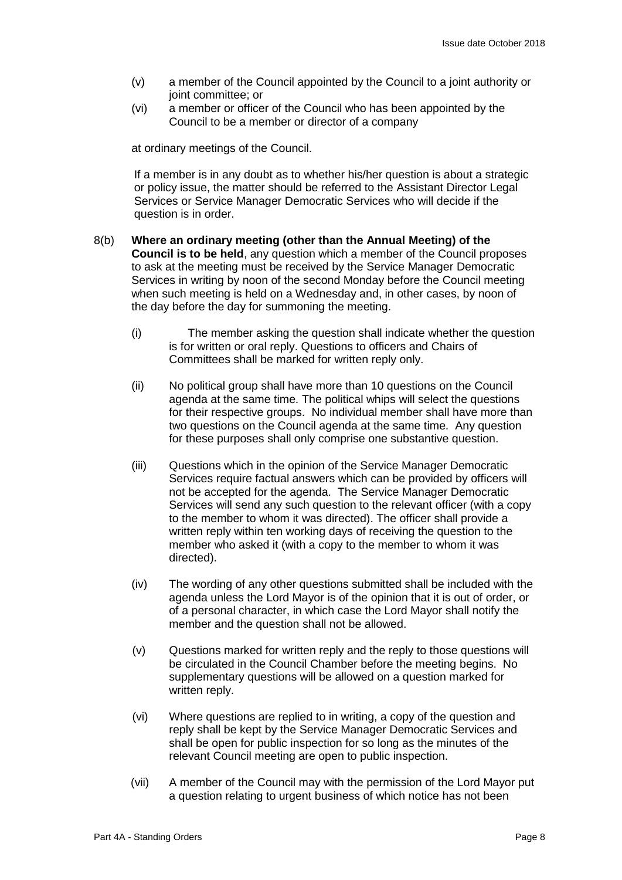- (v) a member of the Council appointed by the Council to a joint authority or joint committee; or
- (vi) a member or officer of the Council who has been appointed by the Council to be a member or director of a company

at ordinary meetings of the Council.

If a member is in any doubt as to whether his/her question is about a strategic or policy issue, the matter should be referred to the Assistant Director Legal Services or Service Manager Democratic Services who will decide if the question is in order.

- 8(b) **Where an ordinary meeting (other than the Annual Meeting) of the Council is to be held**, any question which a member of the Council proposes to ask at the meeting must be received by the Service Manager Democratic Services in writing by noon of the second Monday before the Council meeting when such meeting is held on a Wednesday and, in other cases, by noon of the day before the day for summoning the meeting.
	- (i) The member asking the question shall indicate whether the question is for written or oral reply. Questions to officers and Chairs of Committees shall be marked for written reply only.
	- (ii) No political group shall have more than 10 questions on the Council agenda at the same time. The political whips will select the questions for their respective groups. No individual member shall have more than two questions on the Council agenda at the same time. Any question for these purposes shall only comprise one substantive question.
	- (iii) Questions which in the opinion of the Service Manager Democratic Services require factual answers which can be provided by officers will not be accepted for the agenda. The Service Manager Democratic Services will send any such question to the relevant officer (with a copy to the member to whom it was directed). The officer shall provide a written reply within ten working days of receiving the question to the member who asked it (with a copy to the member to whom it was directed).
	- (iv) The wording of any other questions submitted shall be included with the agenda unless the Lord Mayor is of the opinion that it is out of order, or of a personal character, in which case the Lord Mayor shall notify the member and the question shall not be allowed.
	- (v) Questions marked for written reply and the reply to those questions will be circulated in the Council Chamber before the meeting begins. No supplementary questions will be allowed on a question marked for written reply.
	- (vi) Where questions are replied to in writing, a copy of the question and reply shall be kept by the Service Manager Democratic Services and shall be open for public inspection for so long as the minutes of the relevant Council meeting are open to public inspection.
	- (vii) A member of the Council may with the permission of the Lord Mayor put a question relating to urgent business of which notice has not been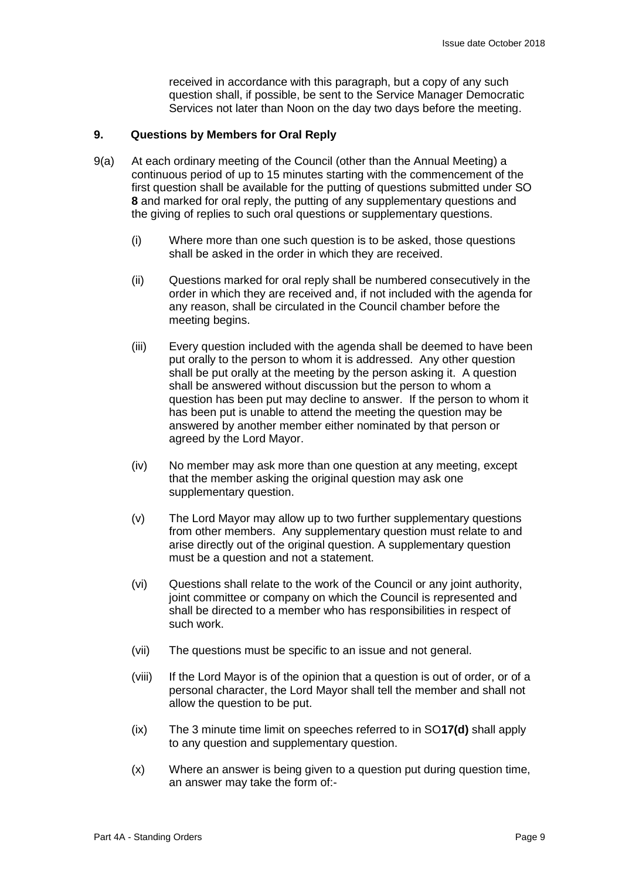received in accordance with this paragraph, but a copy of any such question shall, if possible, be sent to the Service Manager Democratic Services not later than Noon on the day two days before the meeting.

## **9. Questions by Members for Oral Reply**

- 9(a) At each ordinary meeting of the Council (other than the Annual Meeting) a continuous period of up to 15 minutes starting with the commencement of the first question shall be available for the putting of questions submitted under SO **8** and marked for oral reply, the putting of any supplementary questions and the giving of replies to such oral questions or supplementary questions.
	- (i) Where more than one such question is to be asked, those questions shall be asked in the order in which they are received.
	- (ii) Questions marked for oral reply shall be numbered consecutively in the order in which they are received and, if not included with the agenda for any reason, shall be circulated in the Council chamber before the meeting begins.
	- (iii) Every question included with the agenda shall be deemed to have been put orally to the person to whom it is addressed. Any other question shall be put orally at the meeting by the person asking it. A question shall be answered without discussion but the person to whom a question has been put may decline to answer. If the person to whom it has been put is unable to attend the meeting the question may be answered by another member either nominated by that person or agreed by the Lord Mayor.
	- (iv) No member may ask more than one question at any meeting, except that the member asking the original question may ask one supplementary question.
	- (v) The Lord Mayor may allow up to two further supplementary questions from other members. Any supplementary question must relate to and arise directly out of the original question. A supplementary question must be a question and not a statement.
	- (vi) Questions shall relate to the work of the Council or any joint authority, joint committee or company on which the Council is represented and shall be directed to a member who has responsibilities in respect of such work.
	- (vii) The questions must be specific to an issue and not general.
	- (viii) If the Lord Mayor is of the opinion that a question is out of order, or of a personal character, the Lord Mayor shall tell the member and shall not allow the question to be put.
	- (ix) The 3 minute time limit on speeches referred to in SO**17(d)** shall apply to any question and supplementary question.
	- (x) Where an answer is being given to a question put during question time, an answer may take the form of:-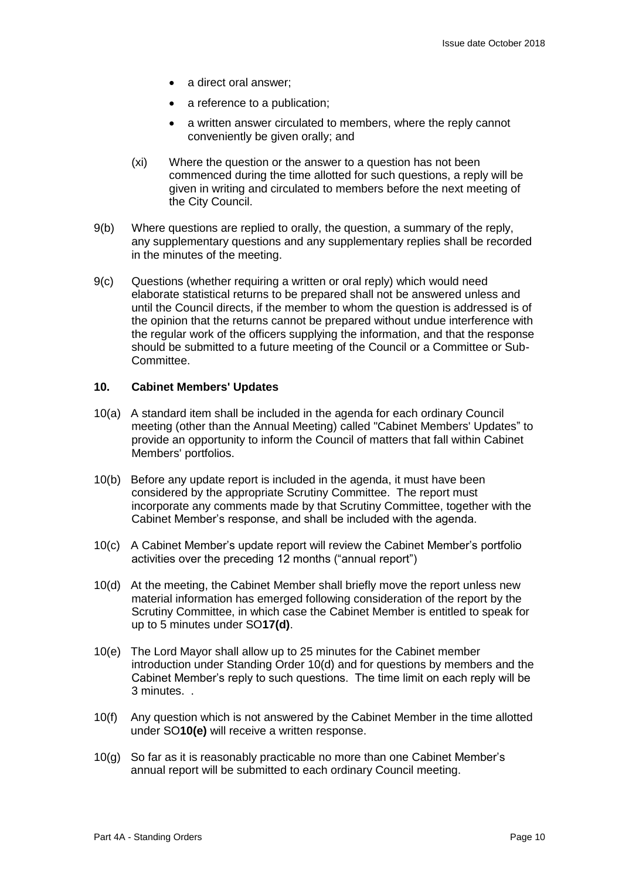- a direct oral answer;
- a reference to a publication;
- a written answer circulated to members, where the reply cannot conveniently be given orally; and
- (xi) Where the question or the answer to a question has not been commenced during the time allotted for such questions, a reply will be given in writing and circulated to members before the next meeting of the City Council.
- 9(b) Where questions are replied to orally, the question, a summary of the reply, any supplementary questions and any supplementary replies shall be recorded in the minutes of the meeting.
- 9(c) Questions (whether requiring a written or oral reply) which would need elaborate statistical returns to be prepared shall not be answered unless and until the Council directs, if the member to whom the question is addressed is of the opinion that the returns cannot be prepared without undue interference with the regular work of the officers supplying the information, and that the response should be submitted to a future meeting of the Council or a Committee or Sub-Committee.

### **10. Cabinet Members' Updates**

- 10(a) A standard item shall be included in the agenda for each ordinary Council meeting (other than the Annual Meeting) called "Cabinet Members' Updates" to provide an opportunity to inform the Council of matters that fall within Cabinet Members' portfolios.
- 10(b) Before any update report is included in the agenda, it must have been considered by the appropriate Scrutiny Committee. The report must incorporate any comments made by that Scrutiny Committee, together with the Cabinet Member's response, and shall be included with the agenda.
- 10(c) A Cabinet Member's update report will review the Cabinet Member's portfolio activities over the preceding 12 months ("annual report")
- 10(d) At the meeting, the Cabinet Member shall briefly move the report unless new material information has emerged following consideration of the report by the Scrutiny Committee, in which case the Cabinet Member is entitled to speak for up to 5 minutes under SO**17(d)**.
- 10(e) The Lord Mayor shall allow up to 25 minutes for the Cabinet member introduction under Standing Order 10(d) and for questions by members and the Cabinet Member's reply to such questions. The time limit on each reply will be 3 minutes. .
- 10(f) Any question which is not answered by the Cabinet Member in the time allotted under SO**10(e)** will receive a written response.
- 10(g) So far as it is reasonably practicable no more than one Cabinet Member's annual report will be submitted to each ordinary Council meeting.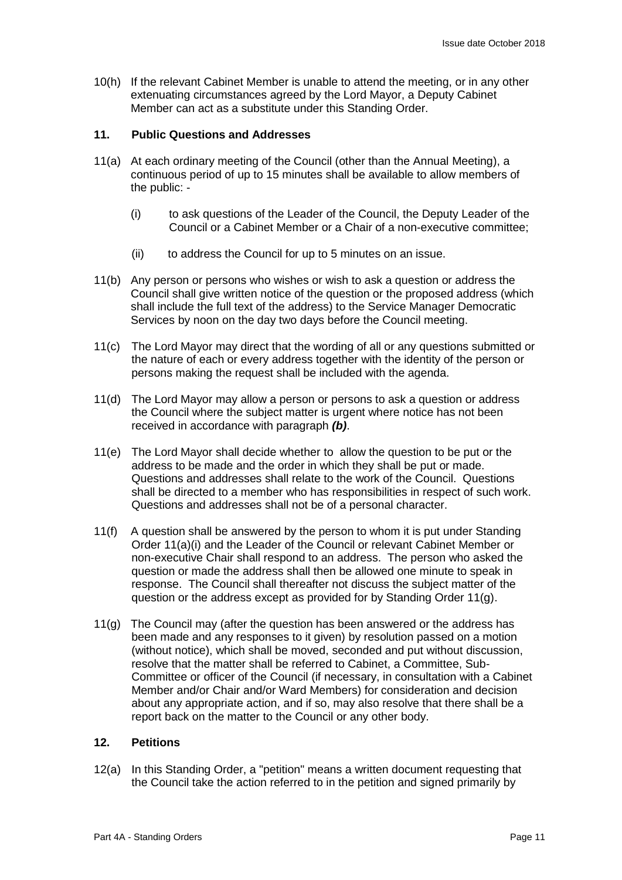10(h) If the relevant Cabinet Member is unable to attend the meeting, or in any other extenuating circumstances agreed by the Lord Mayor, a Deputy Cabinet Member can act as a substitute under this Standing Order.

# **11. Public Questions and Addresses**

- 11(a) At each ordinary meeting of the Council (other than the Annual Meeting), a continuous period of up to 15 minutes shall be available to allow members of the public: -
	- (i) to ask questions of the Leader of the Council, the Deputy Leader of the Council or a Cabinet Member or a Chair of a non-executive committee;
	- (ii) to address the Council for up to 5 minutes on an issue.
- 11(b) Any person or persons who wishes or wish to ask a question or address the Council shall give written notice of the question or the proposed address (which shall include the full text of the address) to the Service Manager Democratic Services by noon on the day two days before the Council meeting.
- 11(c) The Lord Mayor may direct that the wording of all or any questions submitted or the nature of each or every address together with the identity of the person or persons making the request shall be included with the agenda.
- 11(d) The Lord Mayor may allow a person or persons to ask a question or address the Council where the subject matter is urgent where notice has not been received in accordance with paragraph *(b)*.
- 11(e) The Lord Mayor shall decide whether to allow the question to be put or the address to be made and the order in which they shall be put or made. Questions and addresses shall relate to the work of the Council. Questions shall be directed to a member who has responsibilities in respect of such work. Questions and addresses shall not be of a personal character.
- 11(f) A question shall be answered by the person to whom it is put under Standing Order 11(a)(i) and the Leader of the Council or relevant Cabinet Member or non-executive Chair shall respond to an address. The person who asked the question or made the address shall then be allowed one minute to speak in response. The Council shall thereafter not discuss the subject matter of the question or the address except as provided for by Standing Order 11(g).
- 11(g) The Council may (after the question has been answered or the address has been made and any responses to it given) by resolution passed on a motion (without notice), which shall be moved, seconded and put without discussion, resolve that the matter shall be referred to Cabinet, a Committee, Sub-Committee or officer of the Council (if necessary, in consultation with a Cabinet Member and/or Chair and/or Ward Members) for consideration and decision about any appropriate action, and if so, may also resolve that there shall be a report back on the matter to the Council or any other body.

#### **12. Petitions**

12(a) In this Standing Order, a "petition" means a written document requesting that the Council take the action referred to in the petition and signed primarily by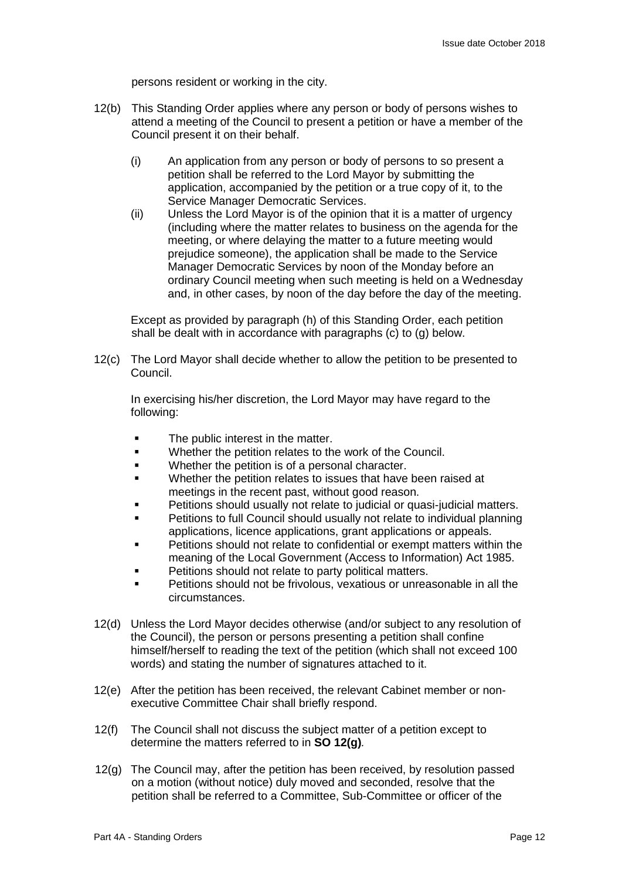persons resident or working in the city.

- 12(b) This Standing Order applies where any person or body of persons wishes to attend a meeting of the Council to present a petition or have a member of the Council present it on their behalf.
	- (i) An application from any person or body of persons to so present a petition shall be referred to the Lord Mayor by submitting the application, accompanied by the petition or a true copy of it, to the Service Manager Democratic Services.
	- (ii) Unless the Lord Mayor is of the opinion that it is a matter of urgency (including where the matter relates to business on the agenda for the meeting, or where delaying the matter to a future meeting would prejudice someone), the application shall be made to the Service Manager Democratic Services by noon of the Monday before an ordinary Council meeting when such meeting is held on a Wednesday and, in other cases, by noon of the day before the day of the meeting.

Except as provided by paragraph (h) of this Standing Order, each petition shall be dealt with in accordance with paragraphs (c) to (g) below.

12(c) The Lord Mayor shall decide whether to allow the petition to be presented to Council.

In exercising his/her discretion, the Lord Mayor may have regard to the following:

- The public interest in the matter.
- Whether the petition relates to the work of the Council.
- **Whether the petition is of a personal character.**
- Whether the petition relates to issues that have been raised at meetings in the recent past, without good reason.
	- Petitions should usually not relate to judicial or quasi-judicial matters.
- Petitions to full Council should usually not relate to individual planning applications, licence applications, grant applications or appeals.
- Petitions should not relate to confidential or exempt matters within the meaning of the Local Government (Access to Information) Act 1985.
- Petitions should not relate to party political matters.
- Petitions should not be frivolous, vexatious or unreasonable in all the circumstances.
- 12(d) Unless the Lord Mayor decides otherwise (and/or subject to any resolution of the Council), the person or persons presenting a petition shall confine himself/herself to reading the text of the petition (which shall not exceed 100 words) and stating the number of signatures attached to it.
- 12(e) After the petition has been received, the relevant Cabinet member or nonexecutive Committee Chair shall briefly respond.
- 12(f) The Council shall not discuss the subject matter of a petition except to determine the matters referred to in **SO 12(g)***.*
- 12(g) The Council may, after the petition has been received, by resolution passed on a motion (without notice) duly moved and seconded, resolve that the petition shall be referred to a Committee, Sub-Committee or officer of the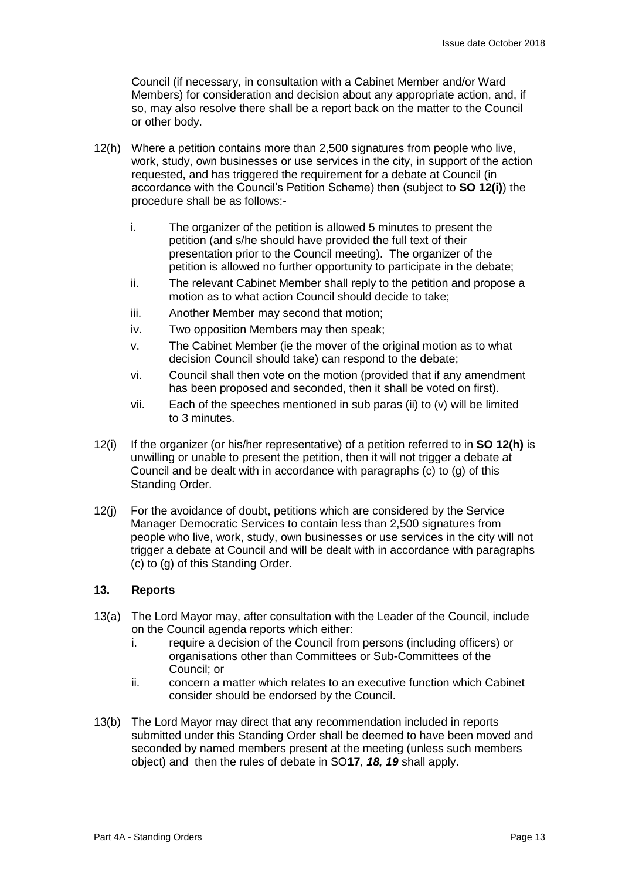Council (if necessary, in consultation with a Cabinet Member and/or Ward Members) for consideration and decision about any appropriate action, and, if so, may also resolve there shall be a report back on the matter to the Council or other body.

- 12(h) Where a petition contains more than 2,500 signatures from people who live, work, study, own businesses or use services in the city, in support of the action requested, and has triggered the requirement for a debate at Council (in accordance with the Council's Petition Scheme) then (subject to **SO 12(i)**) the procedure shall be as follows:
	- i. The organizer of the petition is allowed 5 minutes to present the petition (and s/he should have provided the full text of their presentation prior to the Council meeting). The organizer of the petition is allowed no further opportunity to participate in the debate;
	- ii. The relevant Cabinet Member shall reply to the petition and propose a motion as to what action Council should decide to take;
	- iii. Another Member may second that motion;
	- iv. Two opposition Members may then speak;
	- v. The Cabinet Member (ie the mover of the original motion as to what decision Council should take) can respond to the debate;
	- vi. Council shall then vote on the motion (provided that if any amendment has been proposed and seconded, then it shall be voted on first).
	- vii. Each of the speeches mentioned in sub paras (ii) to (v) will be limited to 3 minutes.
- 12(i) If the organizer (or his/her representative) of a petition referred to in **SO 12(h)** is unwilling or unable to present the petition, then it will not trigger a debate at Council and be dealt with in accordance with paragraphs (c) to (g) of this Standing Order.
- 12(j) For the avoidance of doubt, petitions which are considered by the Service Manager Democratic Services to contain less than 2,500 signatures from people who live, work, study, own businesses or use services in the city will not trigger a debate at Council and will be dealt with in accordance with paragraphs (c) to (g) of this Standing Order.

# **13. Reports**

- 13(a) The Lord Mayor may, after consultation with the Leader of the Council, include on the Council agenda reports which either:
	- i. require a decision of the Council from persons (including officers) or organisations other than Committees or Sub-Committees of the Council; or
	- ii. concern a matter which relates to an executive function which Cabinet consider should be endorsed by the Council.
- 13(b) The Lord Mayor may direct that any recommendation included in reports submitted under this Standing Order shall be deemed to have been moved and seconded by named members present at the meeting (unless such members object) and then the rules of debate in SO**17**, *18, 19* shall apply.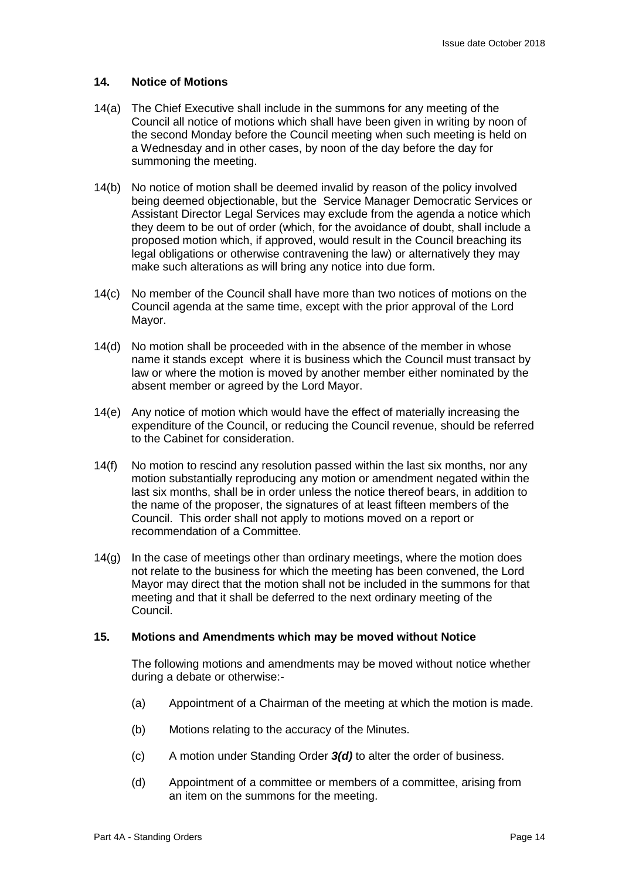# **14. Notice of Motions**

- 14(a) The Chief Executive shall include in the summons for any meeting of the Council all notice of motions which shall have been given in writing by noon of the second Monday before the Council meeting when such meeting is held on a Wednesday and in other cases, by noon of the day before the day for summoning the meeting.
- 14(b) No notice of motion shall be deemed invalid by reason of the policy involved being deemed objectionable, but the Service Manager Democratic Services or Assistant Director Legal Services may exclude from the agenda a notice which they deem to be out of order (which, for the avoidance of doubt, shall include a proposed motion which, if approved, would result in the Council breaching its legal obligations or otherwise contravening the law) or alternatively they may make such alterations as will bring any notice into due form.
- 14(c) No member of the Council shall have more than two notices of motions on the Council agenda at the same time, except with the prior approval of the Lord Mayor.
- 14(d) No motion shall be proceeded with in the absence of the member in whose name it stands except where it is business which the Council must transact by law or where the motion is moved by another member either nominated by the absent member or agreed by the Lord Mayor.
- 14(e) Any notice of motion which would have the effect of materially increasing the expenditure of the Council, or reducing the Council revenue, should be referred to the Cabinet for consideration.
- 14(f) No motion to rescind any resolution passed within the last six months, nor any motion substantially reproducing any motion or amendment negated within the last six months, shall be in order unless the notice thereof bears, in addition to the name of the proposer, the signatures of at least fifteen members of the Council. This order shall not apply to motions moved on a report or recommendation of a Committee.
- $14(q)$  In the case of meetings other than ordinary meetings, where the motion does not relate to the business for which the meeting has been convened, the Lord Mayor may direct that the motion shall not be included in the summons for that meeting and that it shall be deferred to the next ordinary meeting of the Council.

#### **15. Motions and Amendments which may be moved without Notice**

The following motions and amendments may be moved without notice whether during a debate or otherwise:-

- (a) Appointment of a Chairman of the meeting at which the motion is made.
- (b) Motions relating to the accuracy of the Minutes.
- (c) A motion under Standing Order *3(d)* to alter the order of business.
- (d) Appointment of a committee or members of a committee, arising from an item on the summons for the meeting.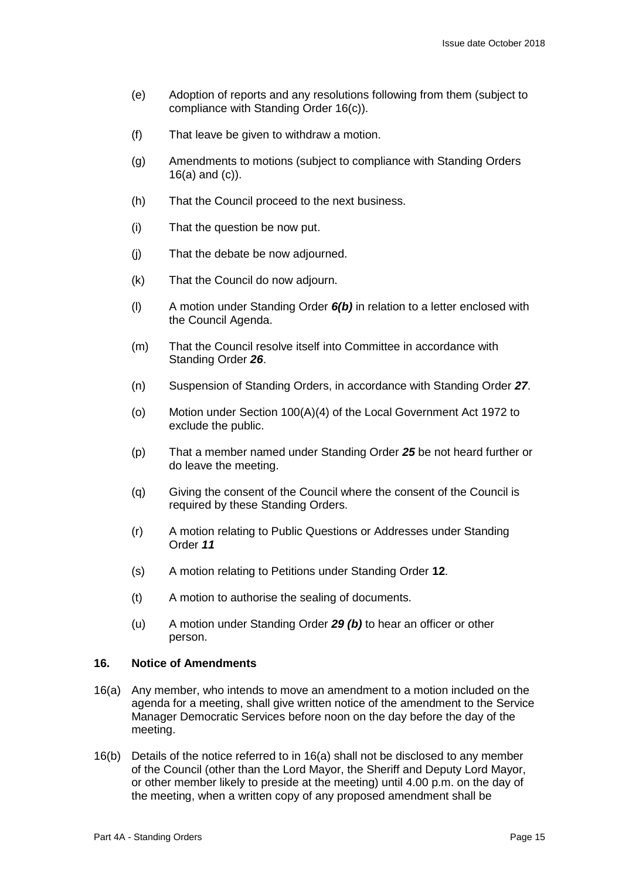- (e) Adoption of reports and any resolutions following from them (subject to compliance with Standing Order 16(c)).
- (f) That leave be given to withdraw a motion.
- (g) Amendments to motions (subject to compliance with Standing Orders 16(a) and (c)).
- (h) That the Council proceed to the next business.
- (i) That the question be now put.
- (j) That the debate be now adjourned.
- (k) That the Council do now adjourn.
- (l) A motion under Standing Order *6(b)* in relation to a letter enclosed with the Council Agenda.
- (m) That the Council resolve itself into Committee in accordance with Standing Order *26*.
- (n) Suspension of Standing Orders, in accordance with Standing Order *27*.
- (o) Motion under Section 100(A)(4) of the Local Government Act 1972 to exclude the public.
- (p) That a member named under Standing Order *25* be not heard further or do leave the meeting.
- (q) Giving the consent of the Council where the consent of the Council is required by these Standing Orders.
- (r) A motion relating to Public Questions or Addresses under Standing Order *11*
- (s) A motion relating to Petitions under Standing Order **12**.
- (t) A motion to authorise the sealing of documents.
- (u) A motion under Standing Order *29 (b)* to hear an officer or other person.

#### **16. Notice of Amendments**

- 16(a) Any member, who intends to move an amendment to a motion included on the agenda for a meeting, shall give written notice of the amendment to the Service Manager Democratic Services before noon on the day before the day of the meeting.
- 16(b) Details of the notice referred to in 16(a) shall not be disclosed to any member of the Council (other than the Lord Mayor, the Sheriff and Deputy Lord Mayor, or other member likely to preside at the meeting) until 4.00 p.m. on the day of the meeting, when a written copy of any proposed amendment shall be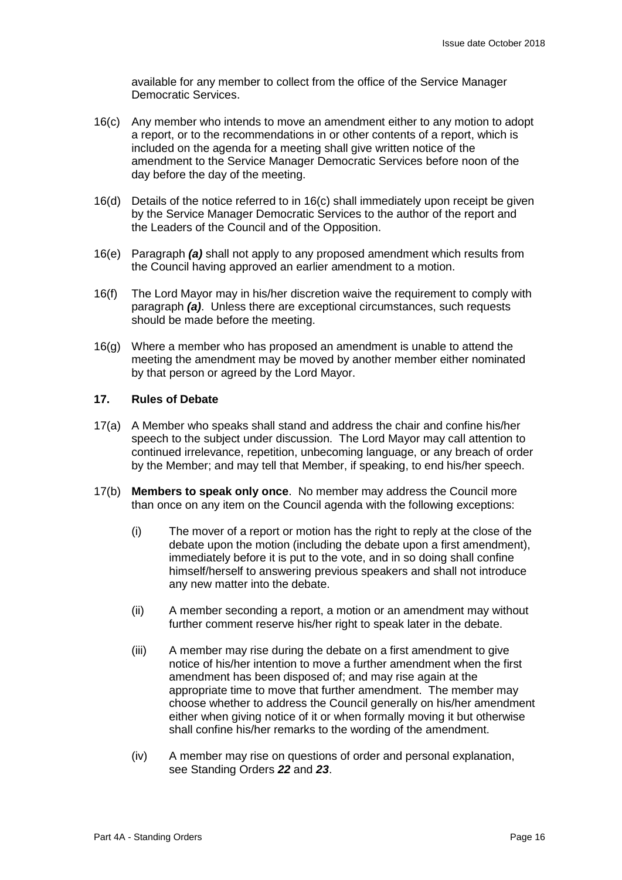available for any member to collect from the office of the Service Manager Democratic Services.

- 16(c) Any member who intends to move an amendment either to any motion to adopt a report, or to the recommendations in or other contents of a report, which is included on the agenda for a meeting shall give written notice of the amendment to the Service Manager Democratic Services before noon of the day before the day of the meeting.
- 16(d) Details of the notice referred to in 16(c) shall immediately upon receipt be given by the Service Manager Democratic Services to the author of the report and the Leaders of the Council and of the Opposition.
- 16(e) Paragraph *(a)* shall not apply to any proposed amendment which results from the Council having approved an earlier amendment to a motion.
- 16(f) The Lord Mayor may in his/her discretion waive the requirement to comply with paragraph *(a)*. Unless there are exceptional circumstances, such requests should be made before the meeting.
- 16(g) Where a member who has proposed an amendment is unable to attend the meeting the amendment may be moved by another member either nominated by that person or agreed by the Lord Mayor.

### **17. Rules of Debate**

- 17(a) A Member who speaks shall stand and address the chair and confine his/her speech to the subject under discussion. The Lord Mayor may call attention to continued irrelevance, repetition, unbecoming language, or any breach of order by the Member; and may tell that Member, if speaking, to end his/her speech.
- 17(b) **Members to speak only once**. No member may address the Council more than once on any item on the Council agenda with the following exceptions:
	- (i) The mover of a report or motion has the right to reply at the close of the debate upon the motion (including the debate upon a first amendment), immediately before it is put to the vote, and in so doing shall confine himself/herself to answering previous speakers and shall not introduce any new matter into the debate.
	- (ii) A member seconding a report, a motion or an amendment may without further comment reserve his/her right to speak later in the debate.
	- (iii) A member may rise during the debate on a first amendment to give notice of his/her intention to move a further amendment when the first amendment has been disposed of; and may rise again at the appropriate time to move that further amendment. The member may choose whether to address the Council generally on his/her amendment either when giving notice of it or when formally moving it but otherwise shall confine his/her remarks to the wording of the amendment.
	- (iv) A member may rise on questions of order and personal explanation, see Standing Orders *22* and *23*.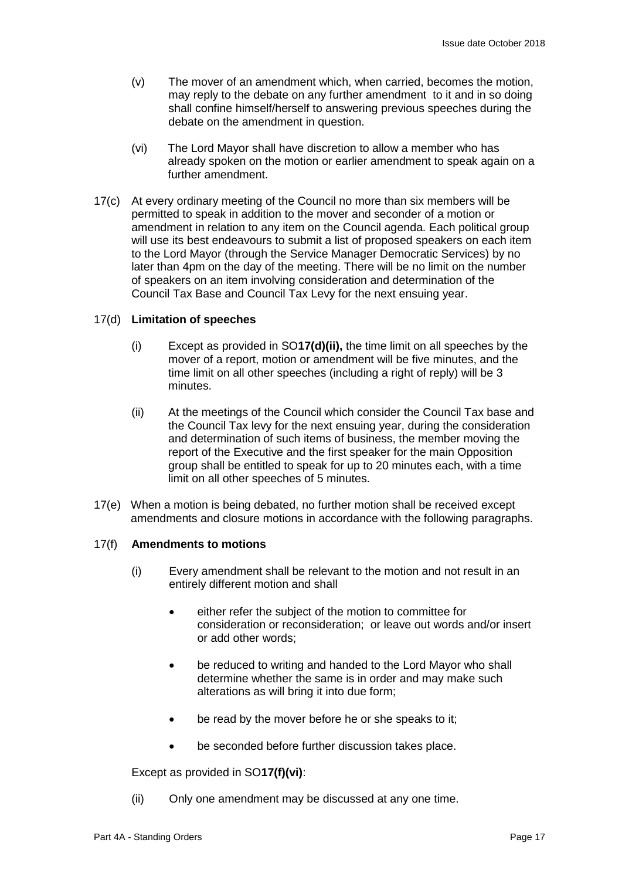- (v) The mover of an amendment which, when carried, becomes the motion, may reply to the debate on any further amendment to it and in so doing shall confine himself/herself to answering previous speeches during the debate on the amendment in question.
- (vi) The Lord Mayor shall have discretion to allow a member who has already spoken on the motion or earlier amendment to speak again on a further amendment.
- 17(c) At every ordinary meeting of the Council no more than six members will be permitted to speak in addition to the mover and seconder of a motion or amendment in relation to any item on the Council agenda. Each political group will use its best endeavours to submit a list of proposed speakers on each item to the Lord Mayor (through the Service Manager Democratic Services) by no later than 4pm on the day of the meeting. There will be no limit on the number of speakers on an item involving consideration and determination of the Council Tax Base and Council Tax Levy for the next ensuing year.

### 17(d) **Limitation of speeches**

- (i) Except as provided in SO**17(d)(ii),** the time limit on all speeches by the mover of a report, motion or amendment will be five minutes, and the time limit on all other speeches (including a right of reply) will be 3 minutes.
- (ii) At the meetings of the Council which consider the Council Tax base and the Council Tax levy for the next ensuing year, during the consideration and determination of such items of business, the member moving the report of the Executive and the first speaker for the main Opposition group shall be entitled to speak for up to 20 minutes each, with a time limit on all other speeches of 5 minutes.
- 17(e) When a motion is being debated, no further motion shall be received except amendments and closure motions in accordance with the following paragraphs.

#### 17(f) **Amendments to motions**

- (i) Every amendment shall be relevant to the motion and not result in an entirely different motion and shall
	- either refer the subject of the motion to committee for consideration or reconsideration; or leave out words and/or insert or add other words;
	- be reduced to writing and handed to the Lord Mayor who shall determine whether the same is in order and may make such alterations as will bring it into due form;
	- be read by the mover before he or she speaks to it;
	- be seconded before further discussion takes place.

Except as provided in SO**17(f)(vi)**:

(ii) Only one amendment may be discussed at any one time.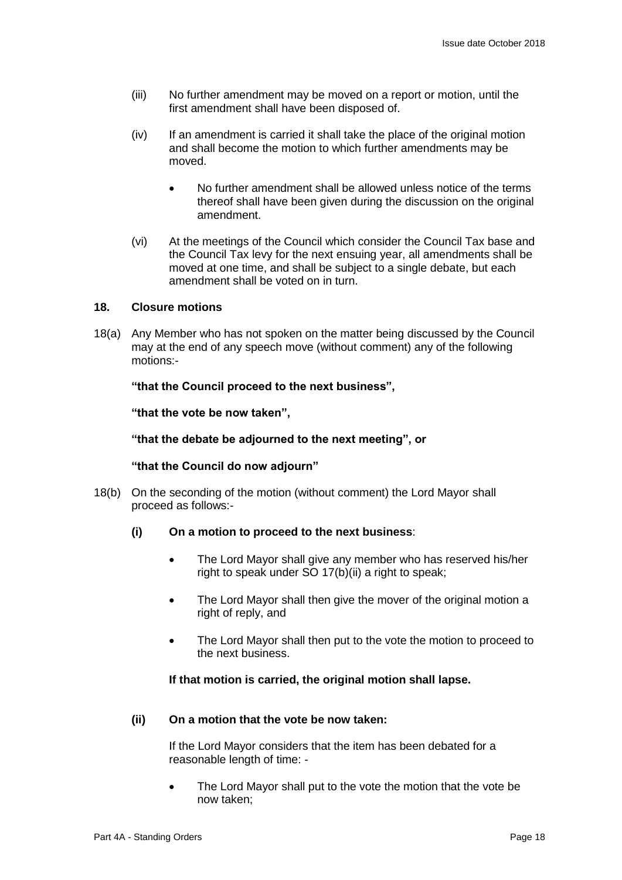- (iii) No further amendment may be moved on a report or motion, until the first amendment shall have been disposed of.
- (iv) If an amendment is carried it shall take the place of the original motion and shall become the motion to which further amendments may be moved.
	- No further amendment shall be allowed unless notice of the terms thereof shall have been given during the discussion on the original amendment.
- (vi) At the meetings of the Council which consider the Council Tax base and the Council Tax levy for the next ensuing year, all amendments shall be moved at one time, and shall be subject to a single debate, but each amendment shall be voted on in turn.

# **18. Closure motions**

18(a) Any Member who has not spoken on the matter being discussed by the Council may at the end of any speech move (without comment) any of the following motions:-

**"that the Council proceed to the next business",** 

**"that the vote be now taken",** 

**"that the debate be adjourned to the next meeting", or** 

**"that the Council do now adjourn"**

- 18(b) On the seconding of the motion (without comment) the Lord Mayor shall proceed as follows:-
	- **(i) On a motion to proceed to the next business**:
		- The Lord Mayor shall give any member who has reserved his/her right to speak under SO 17(b)(ii) a right to speak;
		- The Lord Mayor shall then give the mover of the original motion a right of reply, and
		- The Lord Mayor shall then put to the vote the motion to proceed to the next business.

#### **If that motion is carried, the original motion shall lapse.**

#### **(ii) On a motion that the vote be now taken:**

If the Lord Mayor considers that the item has been debated for a reasonable length of time: -

• The Lord Mayor shall put to the vote the motion that the vote be now taken;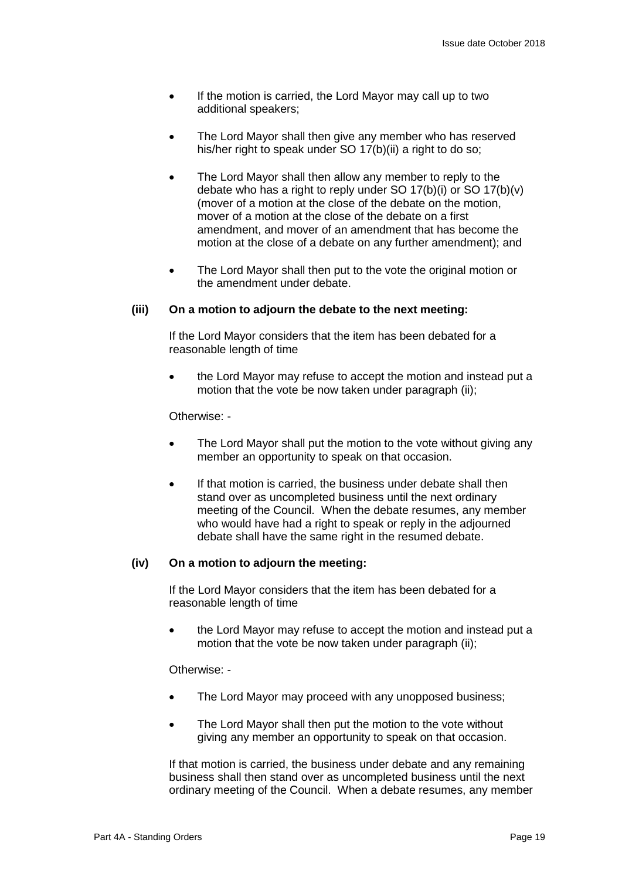- If the motion is carried, the Lord Mayor may call up to two additional speakers;
- The Lord Mayor shall then give any member who has reserved his/her right to speak under SO 17(b)(ii) a right to do so;
- The Lord Mayor shall then allow any member to reply to the debate who has a right to reply under SO 17(b)(i) or SO 17(b)(v) (mover of a motion at the close of the debate on the motion, mover of a motion at the close of the debate on a first amendment, and mover of an amendment that has become the motion at the close of a debate on any further amendment); and
- The Lord Mayor shall then put to the vote the original motion or the amendment under debate.

### **(iii) On a motion to adjourn the debate to the next meeting:**

If the Lord Mayor considers that the item has been debated for a reasonable length of time

 the Lord Mayor may refuse to accept the motion and instead put a motion that the vote be now taken under paragraph (ii);

Otherwise: -

- The Lord Mayor shall put the motion to the vote without giving any member an opportunity to speak on that occasion.
- If that motion is carried, the business under debate shall then stand over as uncompleted business until the next ordinary meeting of the Council. When the debate resumes, any member who would have had a right to speak or reply in the adjourned debate shall have the same right in the resumed debate.

#### **(iv) On a motion to adjourn the meeting:**

If the Lord Mayor considers that the item has been debated for a reasonable length of time

 the Lord Mayor may refuse to accept the motion and instead put a motion that the vote be now taken under paragraph (ii);

Otherwise: -

- The Lord Mayor may proceed with any unopposed business;
- The Lord Mayor shall then put the motion to the vote without giving any member an opportunity to speak on that occasion.

If that motion is carried, the business under debate and any remaining business shall then stand over as uncompleted business until the next ordinary meeting of the Council. When a debate resumes, any member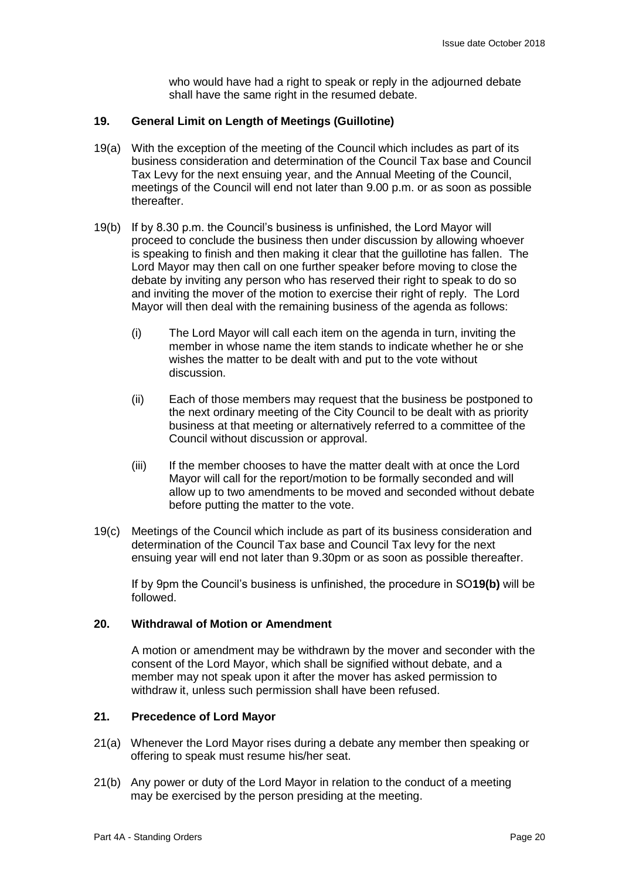who would have had a right to speak or reply in the adjourned debate shall have the same right in the resumed debate.

#### **19. General Limit on Length of Meetings (Guillotine)**

- 19(a) With the exception of the meeting of the Council which includes as part of its business consideration and determination of the Council Tax base and Council Tax Levy for the next ensuing year, and the Annual Meeting of the Council, meetings of the Council will end not later than 9.00 p.m. or as soon as possible thereafter.
- 19(b) If by 8.30 p.m. the Council's business is unfinished, the Lord Mayor will proceed to conclude the business then under discussion by allowing whoever is speaking to finish and then making it clear that the guillotine has fallen. The Lord Mayor may then call on one further speaker before moving to close the debate by inviting any person who has reserved their right to speak to do so and inviting the mover of the motion to exercise their right of reply. The Lord Mayor will then deal with the remaining business of the agenda as follows:
	- (i) The Lord Mayor will call each item on the agenda in turn, inviting the member in whose name the item stands to indicate whether he or she wishes the matter to be dealt with and put to the vote without discussion.
	- (ii) Each of those members may request that the business be postponed to the next ordinary meeting of the City Council to be dealt with as priority business at that meeting or alternatively referred to a committee of the Council without discussion or approval.
	- (iii) If the member chooses to have the matter dealt with at once the Lord Mayor will call for the report/motion to be formally seconded and will allow up to two amendments to be moved and seconded without debate before putting the matter to the vote.
- 19(c) Meetings of the Council which include as part of its business consideration and determination of the Council Tax base and Council Tax levy for the next ensuing year will end not later than 9.30pm or as soon as possible thereafter.

If by 9pm the Council's business is unfinished, the procedure in SO**19(b)** will be followed.

# **20. Withdrawal of Motion or Amendment**

A motion or amendment may be withdrawn by the mover and seconder with the consent of the Lord Mayor, which shall be signified without debate, and a member may not speak upon it after the mover has asked permission to withdraw it, unless such permission shall have been refused.

#### **21. Precedence of Lord Mayor**

- 21(a) Whenever the Lord Mayor rises during a debate any member then speaking or offering to speak must resume his/her seat.
- 21(b) Any power or duty of the Lord Mayor in relation to the conduct of a meeting may be exercised by the person presiding at the meeting.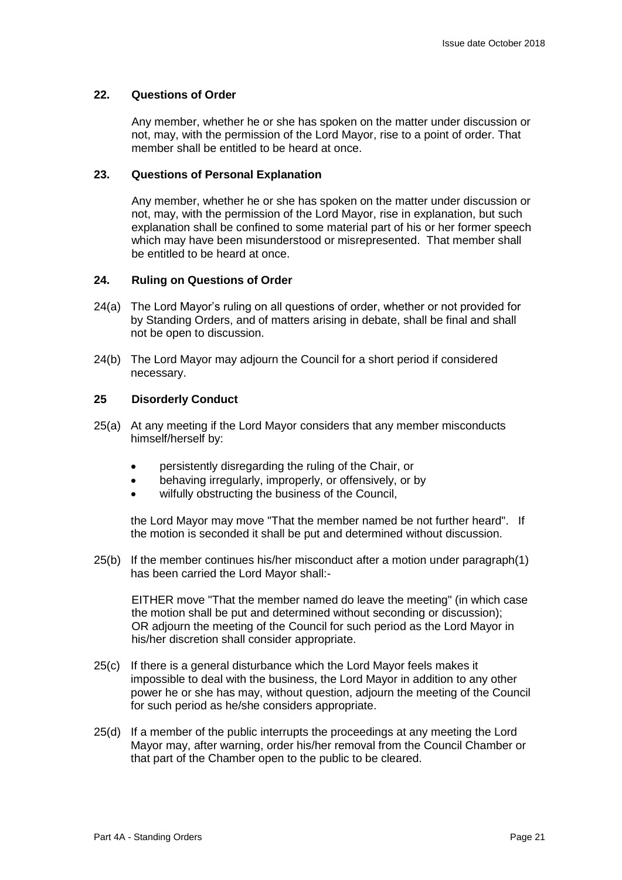### **22. Questions of Order**

Any member, whether he or she has spoken on the matter under discussion or not, may, with the permission of the Lord Mayor, rise to a point of order. That member shall be entitled to be heard at once.

#### **23. Questions of Personal Explanation**

Any member, whether he or she has spoken on the matter under discussion or not, may, with the permission of the Lord Mayor, rise in explanation, but such explanation shall be confined to some material part of his or her former speech which may have been misunderstood or misrepresented. That member shall be entitled to be heard at once.

#### **24. Ruling on Questions of Order**

- 24(a) The Lord Mayor's ruling on all questions of order, whether or not provided for by Standing Orders, and of matters arising in debate, shall be final and shall not be open to discussion.
- 24(b) The Lord Mayor may adjourn the Council for a short period if considered necessary.

### **25 Disorderly Conduct**

- 25(a) At any meeting if the Lord Mayor considers that any member misconducts himself/herself by:
	- persistently disregarding the ruling of the Chair, or
	- behaving irregularly, improperly, or offensively, or by
	- wilfully obstructing the business of the Council,

the Lord Mayor may move "That the member named be not further heard". If the motion is seconded it shall be put and determined without discussion.

25(b) If the member continues his/her misconduct after a motion under paragraph(1) has been carried the Lord Mayor shall:-

EITHER move "That the member named do leave the meeting" (in which case the motion shall be put and determined without seconding or discussion); OR adjourn the meeting of the Council for such period as the Lord Mayor in his/her discretion shall consider appropriate.

- 25(c) If there is a general disturbance which the Lord Mayor feels makes it impossible to deal with the business, the Lord Mayor in addition to any other power he or she has may, without question, adjourn the meeting of the Council for such period as he/she considers appropriate.
- 25(d) If a member of the public interrupts the proceedings at any meeting the Lord Mayor may, after warning, order his/her removal from the Council Chamber or that part of the Chamber open to the public to be cleared.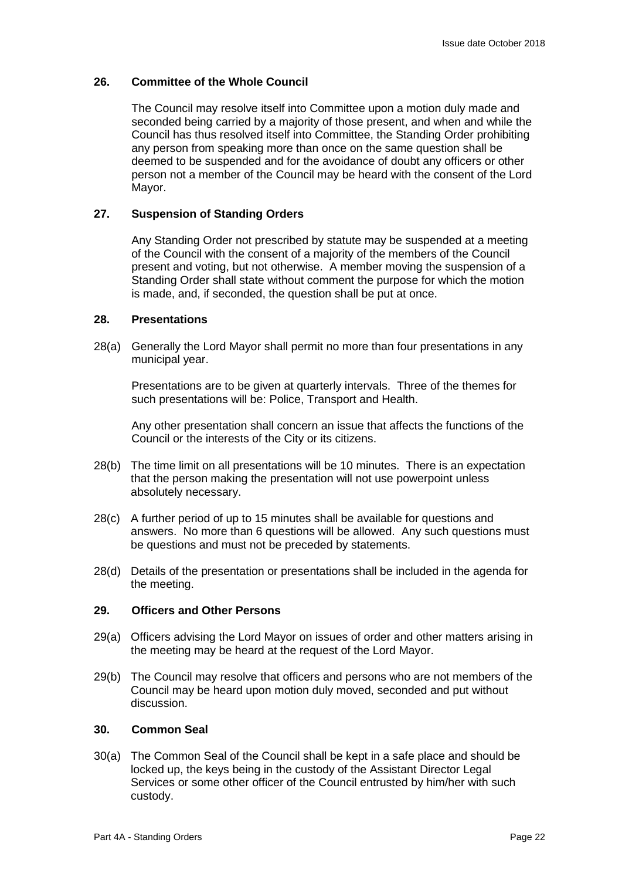# **26. Committee of the Whole Council**

The Council may resolve itself into Committee upon a motion duly made and seconded being carried by a majority of those present, and when and while the Council has thus resolved itself into Committee, the Standing Order prohibiting any person from speaking more than once on the same question shall be deemed to be suspended and for the avoidance of doubt any officers or other person not a member of the Council may be heard with the consent of the Lord Mayor.

#### **27. Suspension of Standing Orders**

Any Standing Order not prescribed by statute may be suspended at a meeting of the Council with the consent of a majority of the members of the Council present and voting, but not otherwise. A member moving the suspension of a Standing Order shall state without comment the purpose for which the motion is made, and, if seconded, the question shall be put at once.

#### **28. Presentations**

28(a) Generally the Lord Mayor shall permit no more than four presentations in any municipal year.

Presentations are to be given at quarterly intervals. Three of the themes for such presentations will be: Police, Transport and Health.

Any other presentation shall concern an issue that affects the functions of the Council or the interests of the City or its citizens.

- 28(b) The time limit on all presentations will be 10 minutes. There is an expectation that the person making the presentation will not use powerpoint unless absolutely necessary.
- 28(c) A further period of up to 15 minutes shall be available for questions and answers. No more than 6 questions will be allowed. Any such questions must be questions and must not be preceded by statements.
- 28(d) Details of the presentation or presentations shall be included in the agenda for the meeting.

#### **29. Officers and Other Persons**

- 29(a) Officers advising the Lord Mayor on issues of order and other matters arising in the meeting may be heard at the request of the Lord Mayor.
- 29(b) The Council may resolve that officers and persons who are not members of the Council may be heard upon motion duly moved, seconded and put without discussion.

#### **30. Common Seal**

30(a) The Common Seal of the Council shall be kept in a safe place and should be locked up, the keys being in the custody of the Assistant Director Legal Services or some other officer of the Council entrusted by him/her with such custody.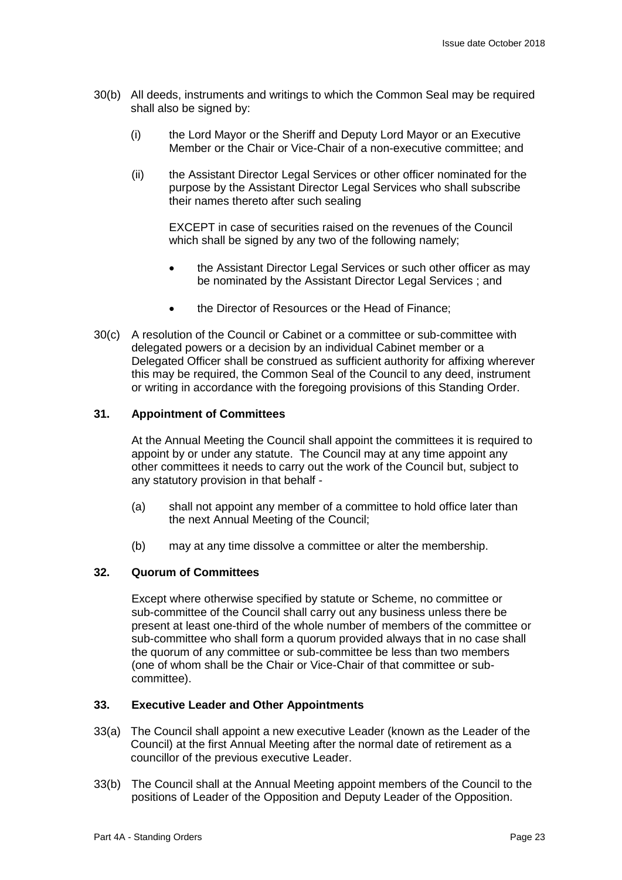- 30(b) All deeds, instruments and writings to which the Common Seal may be required shall also be signed by:
	- (i) the Lord Mayor or the Sheriff and Deputy Lord Mayor or an Executive Member or the Chair or Vice-Chair of a non-executive committee; and
	- (ii) the Assistant Director Legal Services or other officer nominated for the purpose by the Assistant Director Legal Services who shall subscribe their names thereto after such sealing

EXCEPT in case of securities raised on the revenues of the Council which shall be signed by any two of the following namely;

- the Assistant Director Legal Services or such other officer as may be nominated by the Assistant Director Legal Services ; and
- the Director of Resources or the Head of Finance:
- 30(c) A resolution of the Council or Cabinet or a committee or sub-committee with delegated powers or a decision by an individual Cabinet member or a Delegated Officer shall be construed as sufficient authority for affixing wherever this may be required, the Common Seal of the Council to any deed, instrument or writing in accordance with the foregoing provisions of this Standing Order.

#### **31. Appointment of Committees**

At the Annual Meeting the Council shall appoint the committees it is required to appoint by or under any statute. The Council may at any time appoint any other committees it needs to carry out the work of the Council but, subject to any statutory provision in that behalf -

- (a) shall not appoint any member of a committee to hold office later than the next Annual Meeting of the Council;
- (b) may at any time dissolve a committee or alter the membership.

#### **32. Quorum of Committees**

Except where otherwise specified by statute or Scheme, no committee or sub-committee of the Council shall carry out any business unless there be present at least one-third of the whole number of members of the committee or sub-committee who shall form a quorum provided always that in no case shall the quorum of any committee or sub-committee be less than two members (one of whom shall be the Chair or Vice-Chair of that committee or subcommittee).

### **33. Executive Leader and Other Appointments**

- 33(a) The Council shall appoint a new executive Leader (known as the Leader of the Council) at the first Annual Meeting after the normal date of retirement as a councillor of the previous executive Leader.
- 33(b) The Council shall at the Annual Meeting appoint members of the Council to the positions of Leader of the Opposition and Deputy Leader of the Opposition.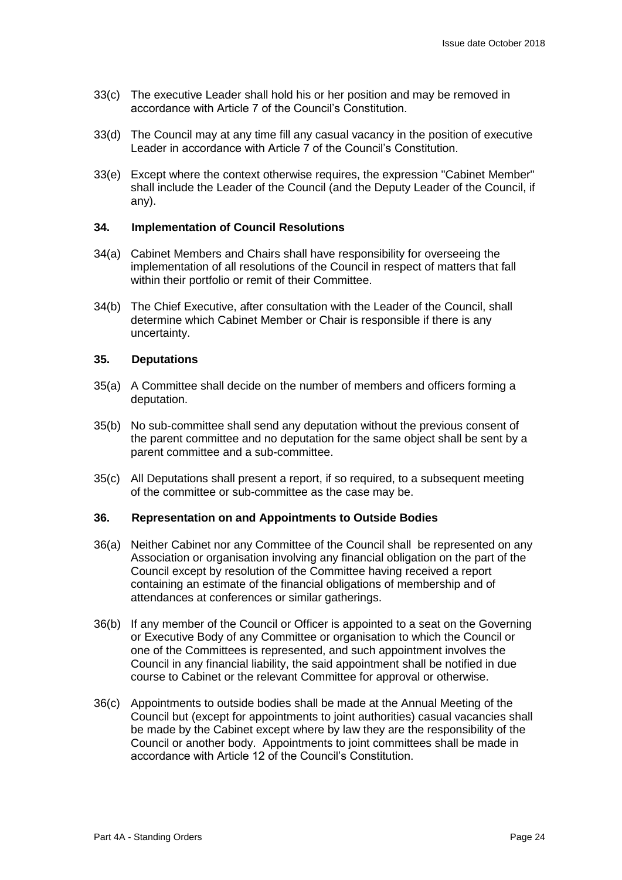- 33(c) The executive Leader shall hold his or her position and may be removed in accordance with Article 7 of the Council's Constitution.
- 33(d) The Council may at any time fill any casual vacancy in the position of executive Leader in accordance with Article 7 of the Council's Constitution.
- 33(e) Except where the context otherwise requires, the expression "Cabinet Member" shall include the Leader of the Council (and the Deputy Leader of the Council, if any).

#### **34. Implementation of Council Resolutions**

- 34(a) Cabinet Members and Chairs shall have responsibility for overseeing the implementation of all resolutions of the Council in respect of matters that fall within their portfolio or remit of their Committee.
- 34(b) The Chief Executive, after consultation with the Leader of the Council, shall determine which Cabinet Member or Chair is responsible if there is any uncertainty.

#### **35. Deputations**

- 35(a) A Committee shall decide on the number of members and officers forming a deputation.
- 35(b) No sub-committee shall send any deputation without the previous consent of the parent committee and no deputation for the same object shall be sent by a parent committee and a sub-committee.
- 35(c) All Deputations shall present a report, if so required, to a subsequent meeting of the committee or sub-committee as the case may be.

#### **36. Representation on and Appointments to Outside Bodies**

- 36(a) Neither Cabinet nor any Committee of the Council shall be represented on any Association or organisation involving any financial obligation on the part of the Council except by resolution of the Committee having received a report containing an estimate of the financial obligations of membership and of attendances at conferences or similar gatherings.
- 36(b) If any member of the Council or Officer is appointed to a seat on the Governing or Executive Body of any Committee or organisation to which the Council or one of the Committees is represented, and such appointment involves the Council in any financial liability, the said appointment shall be notified in due course to Cabinet or the relevant Committee for approval or otherwise.
- 36(c) Appointments to outside bodies shall be made at the Annual Meeting of the Council but (except for appointments to joint authorities) casual vacancies shall be made by the Cabinet except where by law they are the responsibility of the Council or another body. Appointments to joint committees shall be made in accordance with Article 12 of the Council's Constitution.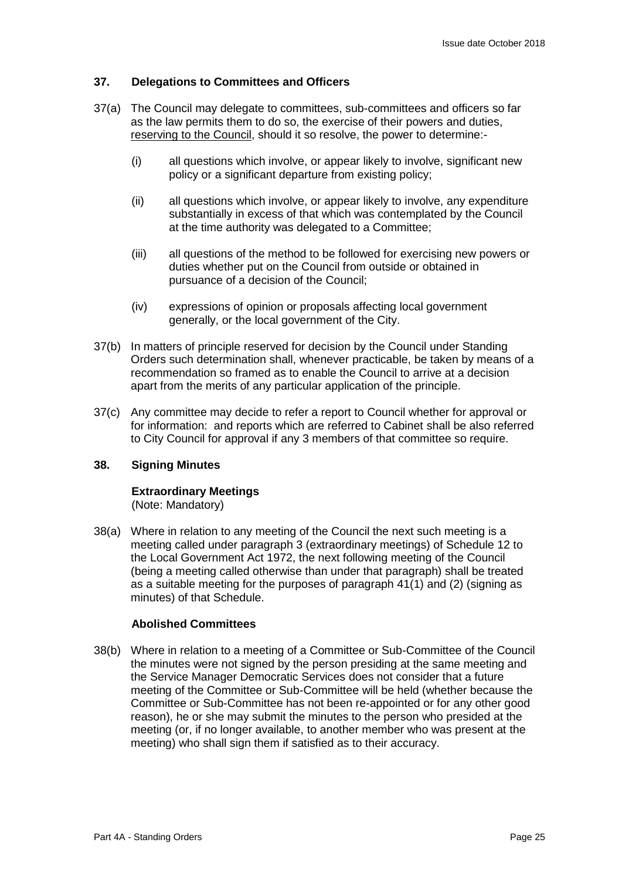# **37. Delegations to Committees and Officers**

- 37(a) The Council may delegate to committees, sub-committees and officers so far as the law permits them to do so, the exercise of their powers and duties, reserving to the Council, should it so resolve, the power to determine:-
	- (i) all questions which involve, or appear likely to involve, significant new policy or a significant departure from existing policy;
	- (ii) all questions which involve, or appear likely to involve, any expenditure substantially in excess of that which was contemplated by the Council at the time authority was delegated to a Committee;
	- (iii) all questions of the method to be followed for exercising new powers or duties whether put on the Council from outside or obtained in pursuance of a decision of the Council;
	- (iv) expressions of opinion or proposals affecting local government generally, or the local government of the City.
- 37(b) In matters of principle reserved for decision by the Council under Standing Orders such determination shall, whenever practicable, be taken by means of a recommendation so framed as to enable the Council to arrive at a decision apart from the merits of any particular application of the principle.
- 37(c) Any committee may decide to refer a report to Council whether for approval or for information: and reports which are referred to Cabinet shall be also referred to City Council for approval if any 3 members of that committee so require.

# **38. Signing Minutes**

# **Extraordinary Meetings**

(Note: Mandatory)

38(a) Where in relation to any meeting of the Council the next such meeting is a meeting called under paragraph 3 (extraordinary meetings) of Schedule 12 to the Local Government Act 1972, the next following meeting of the Council (being a meeting called otherwise than under that paragraph) shall be treated as a suitable meeting for the purposes of paragraph 41(1) and (2) (signing as minutes) of that Schedule.

#### **Abolished Committees**

38(b) Where in relation to a meeting of a Committee or Sub-Committee of the Council the minutes were not signed by the person presiding at the same meeting and the Service Manager Democratic Services does not consider that a future meeting of the Committee or Sub-Committee will be held (whether because the Committee or Sub-Committee has not been re-appointed or for any other good reason), he or she may submit the minutes to the person who presided at the meeting (or, if no longer available, to another member who was present at the meeting) who shall sign them if satisfied as to their accuracy.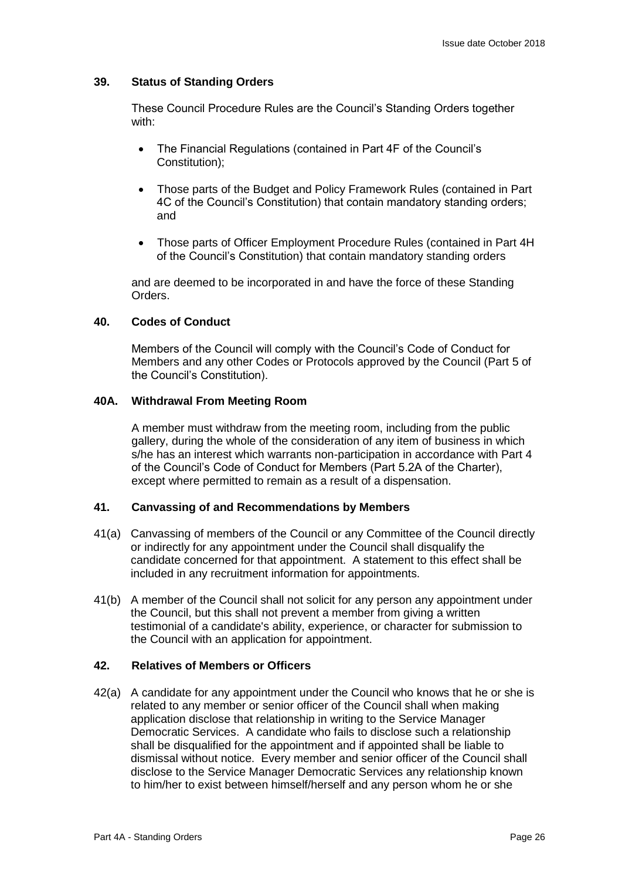# **39. Status of Standing Orders**

These Council Procedure Rules are the Council's Standing Orders together with:

- The Financial Regulations (contained in Part 4F of the Council's Constitution);
- Those parts of the Budget and Policy Framework Rules (contained in Part 4C of the Council's Constitution) that contain mandatory standing orders; and
- Those parts of Officer Employment Procedure Rules (contained in Part 4H of the Council's Constitution) that contain mandatory standing orders

and are deemed to be incorporated in and have the force of these Standing Orders.

# **40. Codes of Conduct**

Members of the Council will comply with the Council's Code of Conduct for Members and any other Codes or Protocols approved by the Council (Part 5 of the Council's Constitution).

### **40A. Withdrawal From Meeting Room**

A member must withdraw from the meeting room, including from the public gallery, during the whole of the consideration of any item of business in which s/he has an interest which warrants non-participation in accordance with Part 4 of the Council's Code of Conduct for Members (Part 5.2A of the Charter), except where permitted to remain as a result of a dispensation.

#### **41. Canvassing of and Recommendations by Members**

- 41(a) Canvassing of members of the Council or any Committee of the Council directly or indirectly for any appointment under the Council shall disqualify the candidate concerned for that appointment. A statement to this effect shall be included in any recruitment information for appointments.
- 41(b) A member of the Council shall not solicit for any person any appointment under the Council, but this shall not prevent a member from giving a written testimonial of a candidate's ability, experience, or character for submission to the Council with an application for appointment.

#### **42. Relatives of Members or Officers**

42(a) A candidate for any appointment under the Council who knows that he or she is related to any member or senior officer of the Council shall when making application disclose that relationship in writing to the Service Manager Democratic Services. A candidate who fails to disclose such a relationship shall be disqualified for the appointment and if appointed shall be liable to dismissal without notice. Every member and senior officer of the Council shall disclose to the Service Manager Democratic Services any relationship known to him/her to exist between himself/herself and any person whom he or she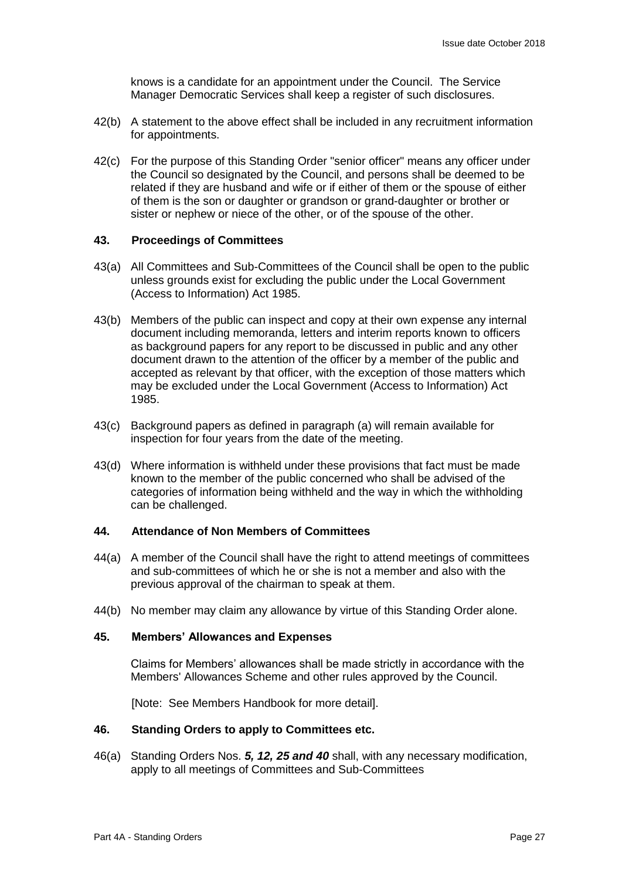knows is a candidate for an appointment under the Council. The Service Manager Democratic Services shall keep a register of such disclosures.

- 42(b) A statement to the above effect shall be included in any recruitment information for appointments.
- 42(c) For the purpose of this Standing Order "senior officer" means any officer under the Council so designated by the Council, and persons shall be deemed to be related if they are husband and wife or if either of them or the spouse of either of them is the son or daughter or grandson or grand-daughter or brother or sister or nephew or niece of the other, or of the spouse of the other.

#### **43. Proceedings of Committees**

- 43(a) All Committees and Sub-Committees of the Council shall be open to the public unless grounds exist for excluding the public under the Local Government (Access to Information) Act 1985.
- 43(b) Members of the public can inspect and copy at their own expense any internal document including memoranda, letters and interim reports known to officers as background papers for any report to be discussed in public and any other document drawn to the attention of the officer by a member of the public and accepted as relevant by that officer, with the exception of those matters which may be excluded under the Local Government (Access to Information) Act 1985.
- 43(c) Background papers as defined in paragraph (a) will remain available for inspection for four years from the date of the meeting.
- 43(d) Where information is withheld under these provisions that fact must be made known to the member of the public concerned who shall be advised of the categories of information being withheld and the way in which the withholding can be challenged.

#### **44. Attendance of Non Members of Committees**

- 44(a) A member of the Council shall have the right to attend meetings of committees and sub-committees of which he or she is not a member and also with the previous approval of the chairman to speak at them.
- 44(b) No member may claim any allowance by virtue of this Standing Order alone.

#### **45. Members' Allowances and Expenses**

Claims for Members' allowances shall be made strictly in accordance with the Members' Allowances Scheme and other rules approved by the Council.

[Note: See Members Handbook for more detail].

#### **46. Standing Orders to apply to Committees etc.**

46(a) Standing Orders Nos. *5, 12, 25 and 40* shall, with any necessary modification, apply to all meetings of Committees and Sub-Committees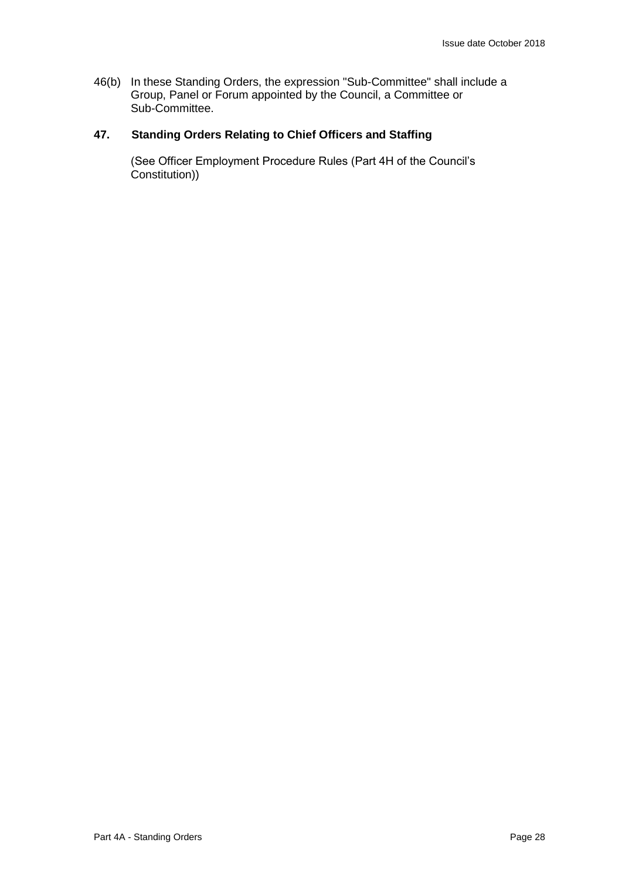46(b) In these Standing Orders, the expression "Sub-Committee" shall include a Group, Panel or Forum appointed by the Council, a Committee or Sub-Committee.

# **47. Standing Orders Relating to Chief Officers and Staffing**

(See Officer Employment Procedure Rules (Part 4H of the Council's Constitution))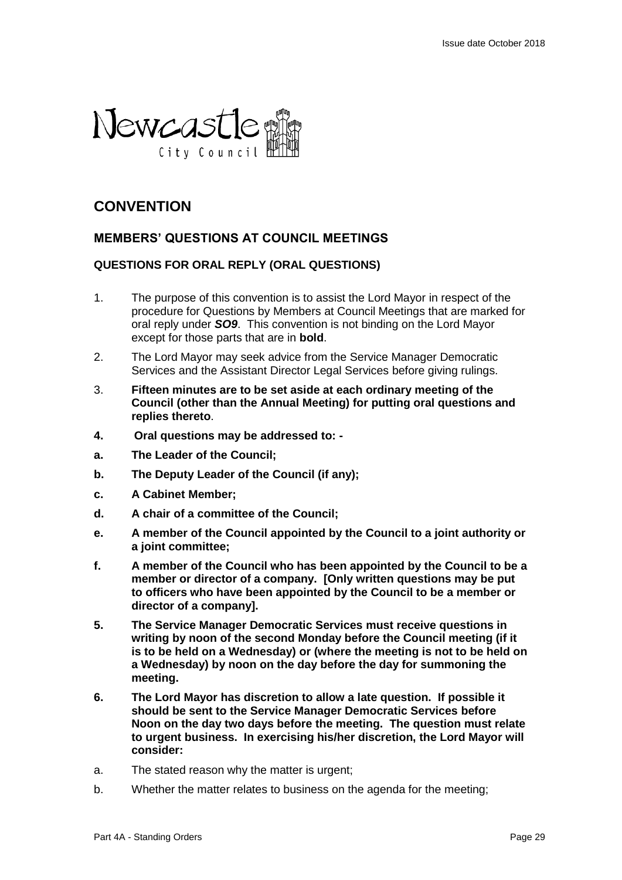

# **CONVENTION**

# **MEMBERS' QUESTIONS AT COUNCIL MEETINGS**

# **QUESTIONS FOR ORAL REPLY (ORAL QUESTIONS)**

- 1. The purpose of this convention is to assist the Lord Mayor in respect of the procedure for Questions by Members at Council Meetings that are marked for oral reply under *SO9*. This convention is not binding on the Lord Mayor except for those parts that are in **bold**.
- 2. The Lord Mayor may seek advice from the Service Manager Democratic Services and the Assistant Director Legal Services before giving rulings.
- 3. **Fifteen minutes are to be set aside at each ordinary meeting of the Council (other than the Annual Meeting) for putting oral questions and replies thereto**.
- **4. Oral questions may be addressed to: -**
- **a. The Leader of the Council;**
- **b. The Deputy Leader of the Council (if any);**
- **c. A Cabinet Member;**
- **d. A chair of a committee of the Council;**
- **e. A member of the Council appointed by the Council to a joint authority or a joint committee;**
- **f. A member of the Council who has been appointed by the Council to be a member or director of a company. [Only written questions may be put to officers who have been appointed by the Council to be a member or director of a company].**
- **5. The Service Manager Democratic Services must receive questions in writing by noon of the second Monday before the Council meeting (if it is to be held on a Wednesday) or (where the meeting is not to be held on a Wednesday) by noon on the day before the day for summoning the meeting.**
- **6. The Lord Mayor has discretion to allow a late question. If possible it should be sent to the Service Manager Democratic Services before Noon on the day two days before the meeting. The question must relate to urgent business. In exercising his/her discretion, the Lord Mayor will consider:**
- a. The stated reason why the matter is urgent;
- b. Whether the matter relates to business on the agenda for the meeting;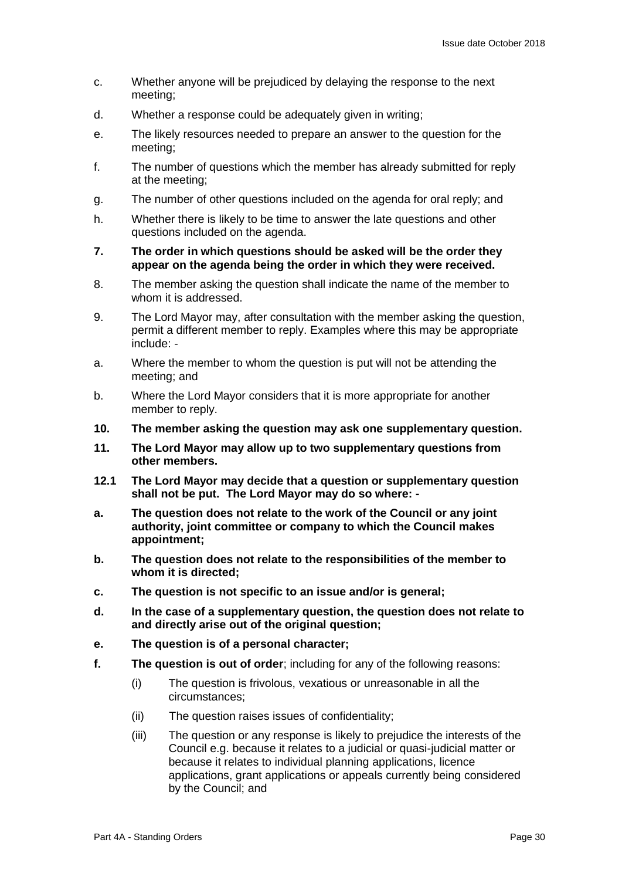- c. Whether anyone will be prejudiced by delaying the response to the next meeting;
- d. Whether a response could be adequately given in writing;
- e. The likely resources needed to prepare an answer to the question for the meeting;
- f. The number of questions which the member has already submitted for reply at the meeting;
- g. The number of other questions included on the agenda for oral reply; and
- h. Whether there is likely to be time to answer the late questions and other questions included on the agenda.
- **7. The order in which questions should be asked will be the order they appear on the agenda being the order in which they were received.**
- 8. The member asking the question shall indicate the name of the member to whom it is addressed.
- 9. The Lord Mayor may, after consultation with the member asking the question, permit a different member to reply. Examples where this may be appropriate include: -
- a. Where the member to whom the question is put will not be attending the meeting; and
- b. Where the Lord Mayor considers that it is more appropriate for another member to reply.
- **10. The member asking the question may ask one supplementary question.**
- **11. The Lord Mayor may allow up to two supplementary questions from other members.**
- **12.1 The Lord Mayor may decide that a question or supplementary question shall not be put. The Lord Mayor may do so where: -**
- **a. The question does not relate to the work of the Council or any joint authority, joint committee or company to which the Council makes appointment;**
- **b. The question does not relate to the responsibilities of the member to whom it is directed;**
- **c. The question is not specific to an issue and/or is general;**
- **d. In the case of a supplementary question, the question does not relate to and directly arise out of the original question;**
- **e. The question is of a personal character;**
- **f. The question is out of order**; including for any of the following reasons:
	- (i) The question is frivolous, vexatious or unreasonable in all the circumstances;
	- (ii) The question raises issues of confidentiality;
	- (iii) The question or any response is likely to prejudice the interests of the Council e.g. because it relates to a judicial or quasi-judicial matter or because it relates to individual planning applications, licence applications, grant applications or appeals currently being considered by the Council; and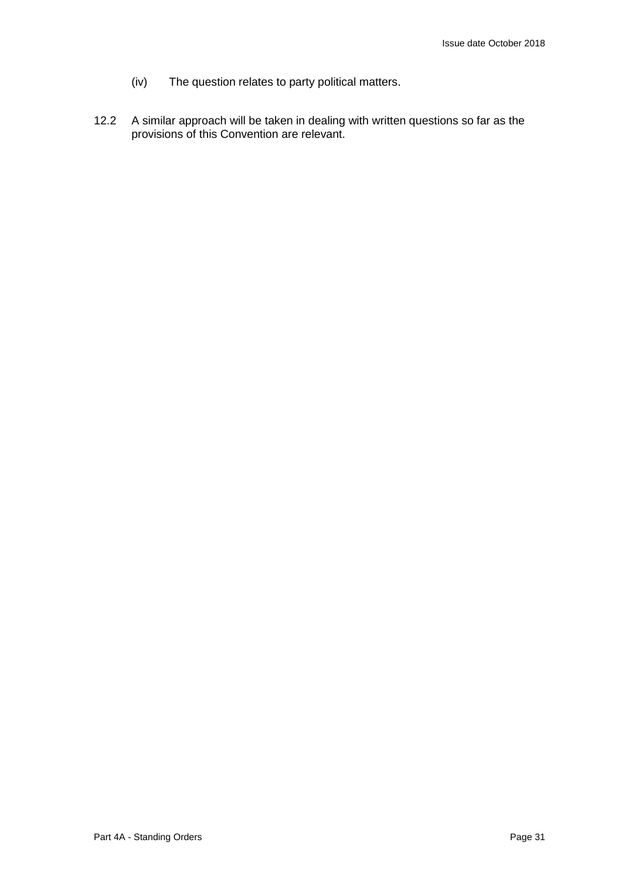- (iv) The question relates to party political matters.
- 12.2 A similar approach will be taken in dealing with written questions so far as the provisions of this Convention are relevant.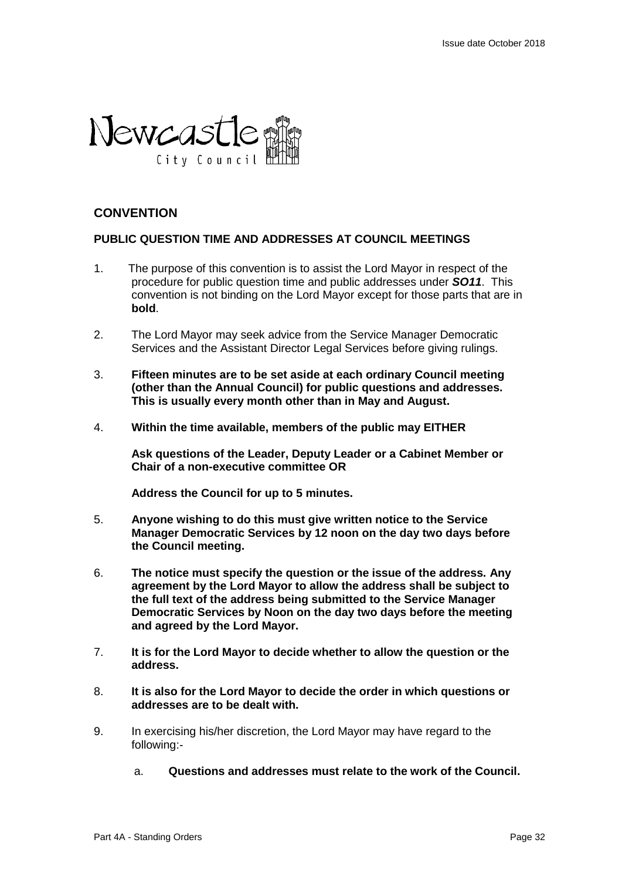

# **CONVENTION**

### **PUBLIC QUESTION TIME AND ADDRESSES AT COUNCIL MEETINGS**

- 1. The purpose of this convention is to assist the Lord Mayor in respect of the procedure for public question time and public addresses under *SO11*. This convention is not binding on the Lord Mayor except for those parts that are in **bold**.
- 2. The Lord Mayor may seek advice from the Service Manager Democratic Services and the Assistant Director Legal Services before giving rulings.
- 3. **Fifteen minutes are to be set aside at each ordinary Council meeting (other than the Annual Council) for public questions and addresses. This is usually every month other than in May and August.**
- 4. **Within the time available, members of the public may EITHER**

**Ask questions of the Leader, Deputy Leader or a Cabinet Member or Chair of a non-executive committee OR**

**Address the Council for up to 5 minutes.**

- 5. **Anyone wishing to do this must give written notice to the Service Manager Democratic Services by 12 noon on the day two days before the Council meeting.**
- 6. **The notice must specify the question or the issue of the address. Any agreement by the Lord Mayor to allow the address shall be subject to the full text of the address being submitted to the Service Manager Democratic Services by Noon on the day two days before the meeting and agreed by the Lord Mayor.**
- 7. **It is for the Lord Mayor to decide whether to allow the question or the address.**
- 8. **It is also for the Lord Mayor to decide the order in which questions or addresses are to be dealt with.**
- 9. In exercising his/her discretion, the Lord Mayor may have regard to the following:
	- a. **Questions and addresses must relate to the work of the Council.**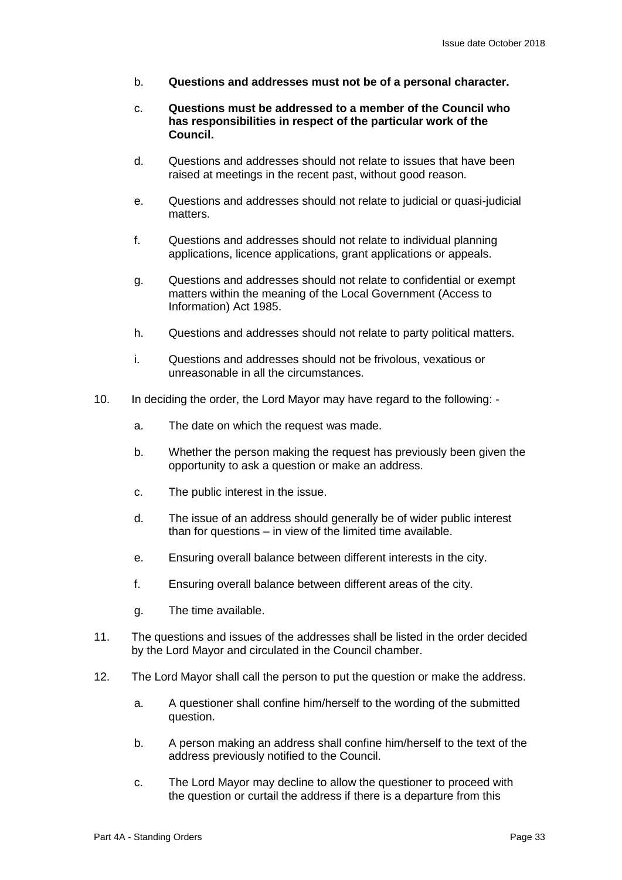- b. **Questions and addresses must not be of a personal character.**
- c. **Questions must be addressed to a member of the Council who has responsibilities in respect of the particular work of the Council.**
- d. Questions and addresses should not relate to issues that have been raised at meetings in the recent past, without good reason.
- e. Questions and addresses should not relate to judicial or quasi-judicial matters.
- f. Questions and addresses should not relate to individual planning applications, licence applications, grant applications or appeals.
- g. Questions and addresses should not relate to confidential or exempt matters within the meaning of the Local Government (Access to Information) Act 1985.
- h. Questions and addresses should not relate to party political matters.
- i. Questions and addresses should not be frivolous, vexatious or unreasonable in all the circumstances.
- 10. In deciding the order, the Lord Mayor may have regard to the following:
	- a. The date on which the request was made.
	- b. Whether the person making the request has previously been given the opportunity to ask a question or make an address.
	- c. The public interest in the issue.
	- d. The issue of an address should generally be of wider public interest than for questions – in view of the limited time available.
	- e. Ensuring overall balance between different interests in the city.
	- f. Ensuring overall balance between different areas of the city.
	- g. The time available.
- 11. The questions and issues of the addresses shall be listed in the order decided by the Lord Mayor and circulated in the Council chamber.
- 12. The Lord Mayor shall call the person to put the question or make the address.
	- a. A questioner shall confine him/herself to the wording of the submitted question.
	- b. A person making an address shall confine him/herself to the text of the address previously notified to the Council.
	- c. The Lord Mayor may decline to allow the questioner to proceed with the question or curtail the address if there is a departure from this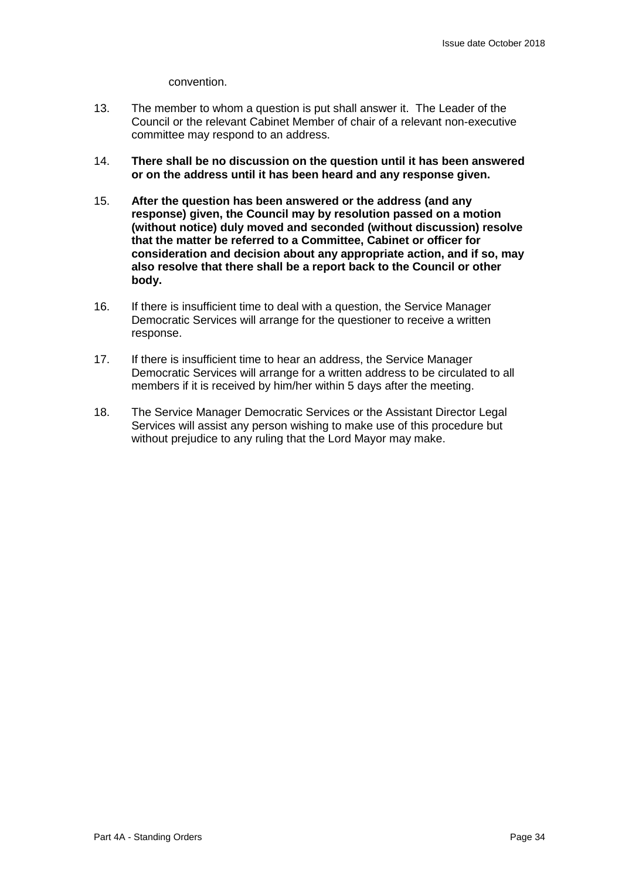convention.

- 13. The member to whom a question is put shall answer it. The Leader of the Council or the relevant Cabinet Member of chair of a relevant non-executive committee may respond to an address.
- 14. **There shall be no discussion on the question until it has been answered or on the address until it has been heard and any response given.**
- 15. **After the question has been answered or the address (and any response) given, the Council may by resolution passed on a motion (without notice) duly moved and seconded (without discussion) resolve that the matter be referred to a Committee, Cabinet or officer for consideration and decision about any appropriate action, and if so, may also resolve that there shall be a report back to the Council or other body.**
- 16. If there is insufficient time to deal with a question, the Service Manager Democratic Services will arrange for the questioner to receive a written response.
- 17. If there is insufficient time to hear an address, the Service Manager Democratic Services will arrange for a written address to be circulated to all members if it is received by him/her within 5 days after the meeting.
- 18. The Service Manager Democratic Services or the Assistant Director Legal Services will assist any person wishing to make use of this procedure but without prejudice to any ruling that the Lord Mayor may make.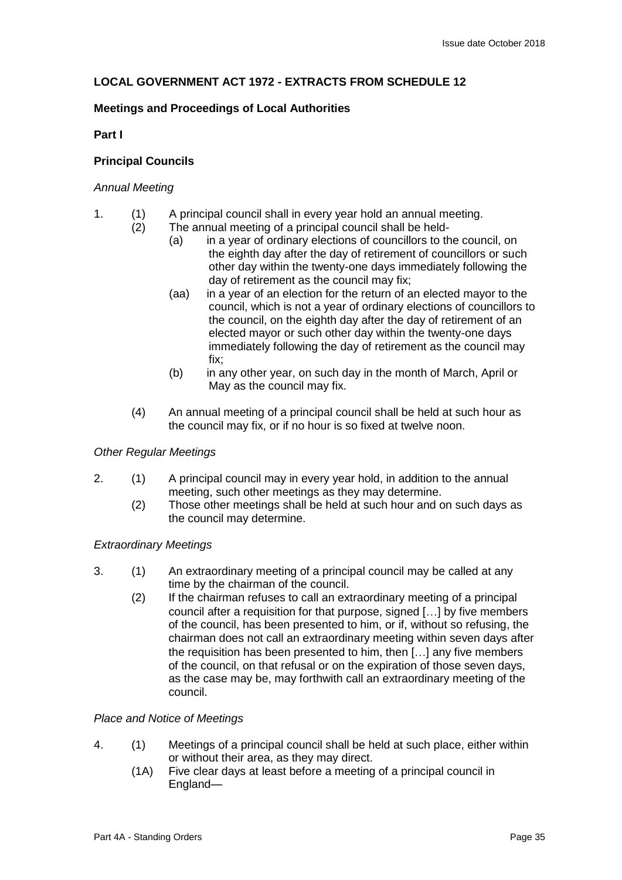# **LOCAL GOVERNMENT ACT 1972 - EXTRACTS FROM SCHEDULE 12**

# **Meetings and Proceedings of Local Authorities**

#### **Part I**

## **Principal Councils**

### *Annual Meeting*

- 1. (1) A principal council shall in every year hold an annual meeting.<br>(2) The annual meeting of a principal council shall be held-
	- The annual meeting of a principal council shall be held-
		- (a) in a year of ordinary elections of councillors to the council, on the eighth day after the day of retirement of councillors or such other day within the twenty-one days immediately following the day of retirement as the council may fix;
		- (aa) in a year of an election for the return of an elected mayor to the council, which is not a year of ordinary elections of councillors to the council, on the eighth day after the day of retirement of an elected mayor or such other day within the twenty-one days immediately following the day of retirement as the council may fix;
		- (b) in any other year, on such day in the month of March, April or May as the council may fix.
	- (4) An annual meeting of a principal council shall be held at such hour as the council may fix, or if no hour is so fixed at twelve noon.

# *Other Regular Meetings*

- 2. (1) A principal council may in every year hold, in addition to the annual meeting, such other meetings as they may determine.
	- (2) Those other meetings shall be held at such hour and on such days as the council may determine.

#### *Extraordinary Meetings*

- 3. (1) An extraordinary meeting of a principal council may be called at any time by the chairman of the council.
	- (2) If the chairman refuses to call an extraordinary meeting of a principal council after a requisition for that purpose, signed  $[...]$  by five members of the council, has been presented to him, or if, without so refusing, the chairman does not call an extraordinary meeting within seven days after the requisition has been presented to him, then  $[...]$  any five members of the council, on that refusal or on the expiration of those seven days, as the case may be, may forthwith call an extraordinary meeting of the council.

#### *Place and Notice of Meetings*

- 4. (1) Meetings of a principal council shall be held at such place, either within or without their area, as they may direct.
	- (1A) Five clear days at least before a meeting of a principal council in England—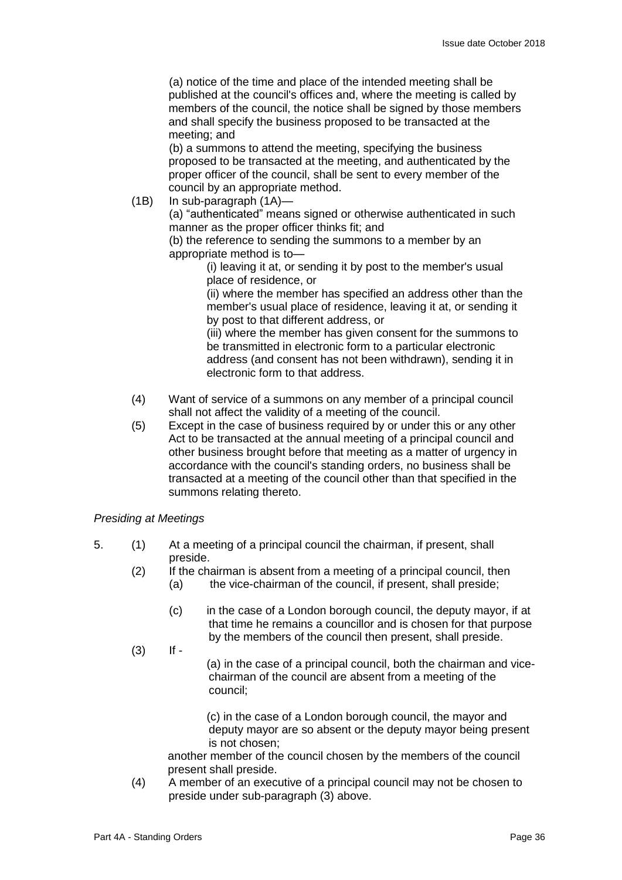(a) notice of the time and place of the intended meeting shall be published at the council's offices and, where the meeting is called by members of the council, the notice shall be signed by those members and shall specify the business proposed to be transacted at the meeting; and

(b) a summons to attend the meeting, specifying the business proposed to be transacted at the meeting, and authenticated by the proper officer of the council, shall be sent to every member of the council by an appropriate method.

(1B) In sub-paragraph (1A)—

(a) "authenticated" means signed or otherwise authenticated in such manner as the proper officer thinks fit; and

(b) the reference to sending the summons to a member by an appropriate method is to—

(i) leaving it at, or sending it by post to the member's usual place of residence, or

(ii) where the member has specified an address other than the member's usual place of residence, leaving it at, or sending it by post to that different address, or

(iii) where the member has given consent for the summons to be transmitted in electronic form to a particular electronic address (and consent has not been withdrawn), sending it in electronic form to that address.

- (4) Want of service of a summons on any member of a principal council shall not affect the validity of a meeting of the council.
- (5) Except in the case of business required by or under this or any other Act to be transacted at the annual meeting of a principal council and other business brought before that meeting as a matter of urgency in accordance with the council's standing orders, no business shall be transacted at a meeting of the council other than that specified in the summons relating thereto.

#### *Presiding at Meetings*

 $(3)$  If -

- 5. (1) At a meeting of a principal council the chairman, if present, shall preside.
	- (2) If the chairman is absent from a meeting of a principal council, then (a) the vice-chairman of the council, if present, shall preside;
		- (c) in the case of a London borough council, the deputy mayor, if at that time he remains a councillor and is chosen for that purpose by the members of the council then present, shall preside.
			- (a) in the case of a principal council, both the chairman and vicechairman of the council are absent from a meeting of the council;

(c) in the case of a London borough council, the mayor and deputy mayor are so absent or the deputy mayor being present is not chosen;

another member of the council chosen by the members of the council present shall preside.

(4) A member of an executive of a principal council may not be chosen to preside under sub-paragraph (3) above.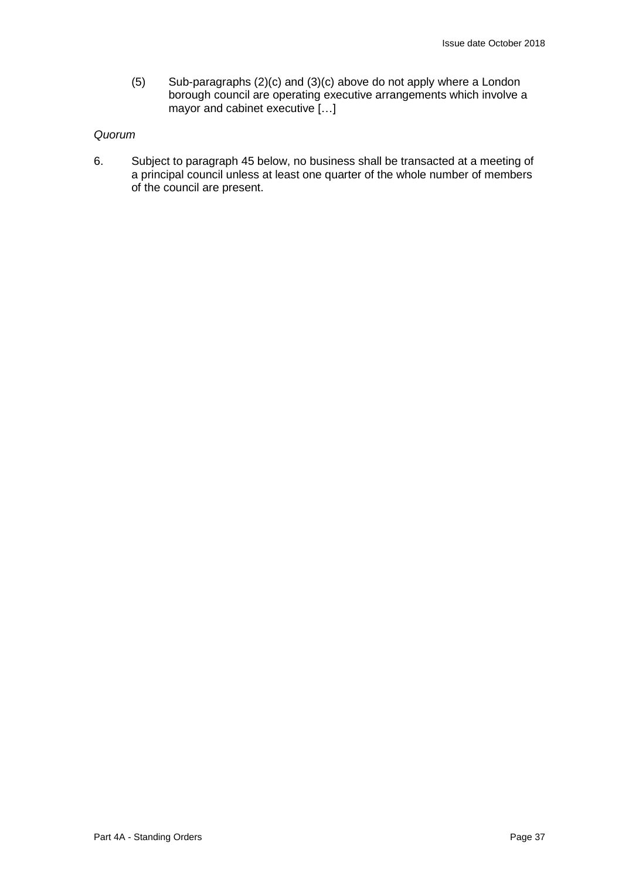(5) Sub-paragraphs (2)(c) and (3)(c) above do not apply where a London borough council are operating executive arrangements which involve a mayor and cabinet executive […]

# *Quorum*

6. Subject to paragraph 45 below, no business shall be transacted at a meeting of a principal council unless at least one quarter of the whole number of members of the council are present.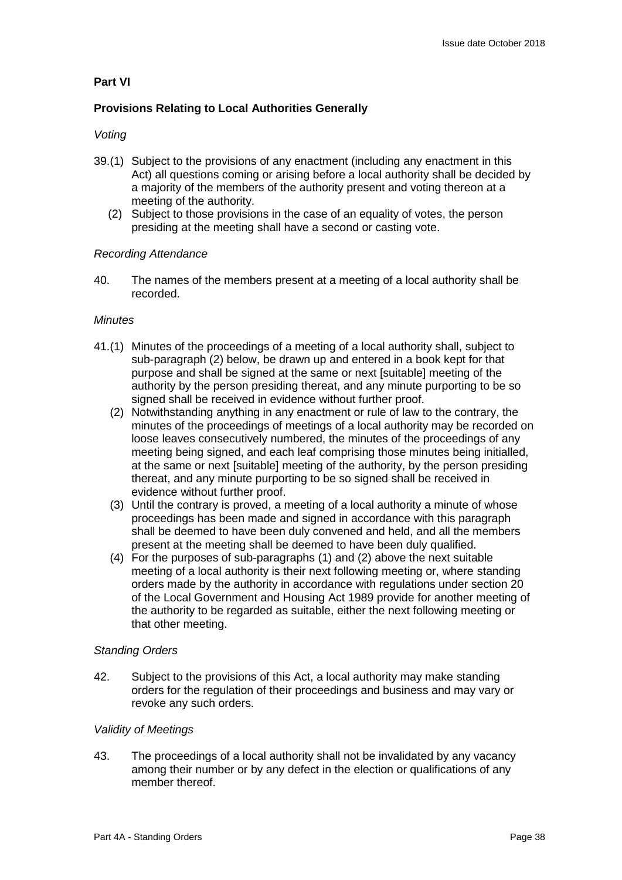# **Part VI**

# **Provisions Relating to Local Authorities Generally**

### *Voting*

- 39.(1) Subject to the provisions of any enactment (including any enactment in this Act) all questions coming or arising before a local authority shall be decided by a majority of the members of the authority present and voting thereon at a meeting of the authority.
	- (2) Subject to those provisions in the case of an equality of votes, the person presiding at the meeting shall have a second or casting vote.

### *Recording Attendance*

40. The names of the members present at a meeting of a local authority shall be recorded.

### *Minutes*

- 41.(1) Minutes of the proceedings of a meeting of a local authority shall, subject to sub-paragraph (2) below, be drawn up and entered in a book kept for that purpose and shall be signed at the same or next [suitable] meeting of the authority by the person presiding thereat, and any minute purporting to be so signed shall be received in evidence without further proof.
	- (2) Notwithstanding anything in any enactment or rule of law to the contrary, the minutes of the proceedings of meetings of a local authority may be recorded on loose leaves consecutively numbered, the minutes of the proceedings of any meeting being signed, and each leaf comprising those minutes being initialled, at the same or next [suitable] meeting of the authority, by the person presiding thereat, and any minute purporting to be so signed shall be received in evidence without further proof.
	- (3) Until the contrary is proved, a meeting of a local authority a minute of whose proceedings has been made and signed in accordance with this paragraph shall be deemed to have been duly convened and held, and all the members present at the meeting shall be deemed to have been duly qualified.
	- (4) For the purposes of sub-paragraphs (1) and (2) above the next suitable meeting of a local authority is their next following meeting or, where standing orders made by the authority in accordance with regulations under section 20 of the Local Government and Housing Act 1989 provide for another meeting of the authority to be regarded as suitable, either the next following meeting or that other meeting.

#### *Standing Orders*

42. Subject to the provisions of this Act, a local authority may make standing orders for the regulation of their proceedings and business and may vary or revoke any such orders.

#### *Validity of Meetings*

43. The proceedings of a local authority shall not be invalidated by any vacancy among their number or by any defect in the election or qualifications of any member thereof.